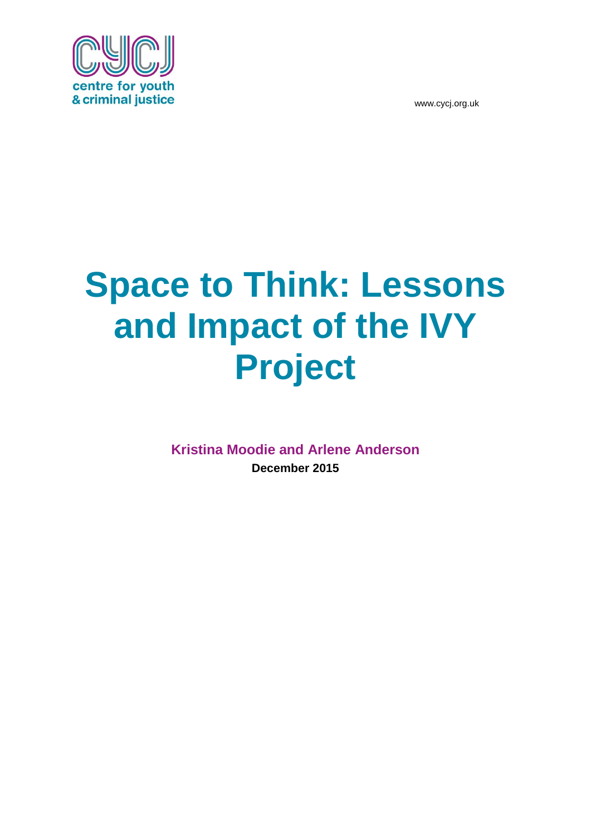

# **Space to Think: Lessons and Impact of the IVY Project**

**Kristina Moodie and Arlene Anderson December 2015**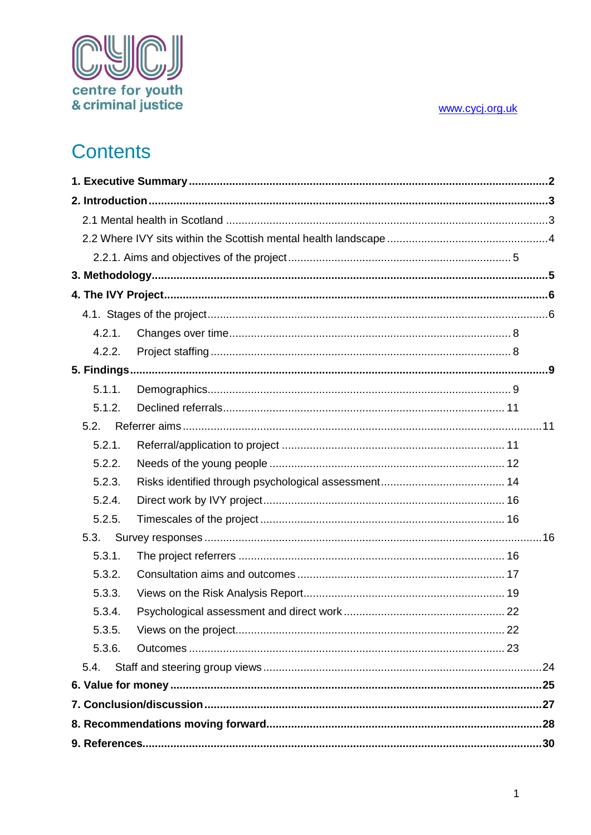

# **Contents**

| 4.2.1. |  |
|--------|--|
| 4.2.2. |  |
|        |  |
| 5.1.1. |  |
| 5.1.2. |  |
| 5.2.   |  |
| 5.2.1. |  |
| 5.2.2. |  |
| 5.2.3. |  |
| 5.2.4. |  |
| 5.2.5. |  |
| 5.3.   |  |
| 5.3.1. |  |
| 5.3.2. |  |
| 5.3.3. |  |
| 5.3.4. |  |
| 5.3.5. |  |
| 5.3.6. |  |
| 5.4.   |  |
|        |  |
|        |  |
|        |  |
|        |  |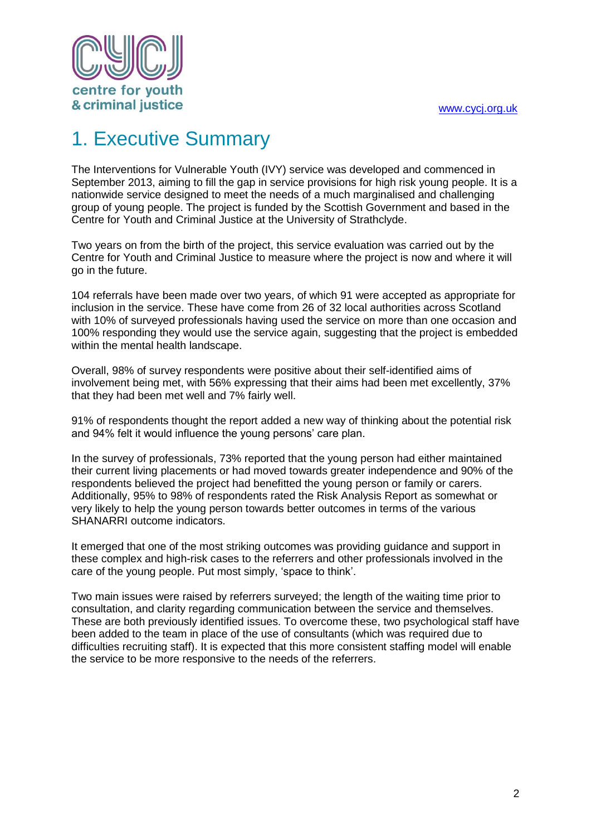

# <span id="page-2-0"></span>1. Executive Summary

The Interventions for Vulnerable Youth (IVY) service was developed and commenced in September 2013, aiming to fill the gap in service provisions for high risk young people. It is a nationwide service designed to meet the needs of a much marginalised and challenging group of young people. The project is funded by the Scottish Government and based in the Centre for Youth and Criminal Justice at the University of Strathclyde.

Two years on from the birth of the project, this service evaluation was carried out by the Centre for Youth and Criminal Justice to measure where the project is now and where it will go in the future.

104 referrals have been made over two years, of which 91 were accepted as appropriate for inclusion in the service. These have come from 26 of 32 local authorities across Scotland with 10% of surveyed professionals having used the service on more than one occasion and 100% responding they would use the service again, suggesting that the project is embedded within the mental health landscape.

Overall, 98% of survey respondents were positive about their self-identified aims of involvement being met, with 56% expressing that their aims had been met excellently, 37% that they had been met well and 7% fairly well.

91% of respondents thought the report added a new way of thinking about the potential risk and 94% felt it would influence the young persons' care plan.

In the survey of professionals, 73% reported that the young person had either maintained their current living placements or had moved towards greater independence and 90% of the respondents believed the project had benefitted the young person or family or carers. Additionally, 95% to 98% of respondents rated the Risk Analysis Report as somewhat or very likely to help the young person towards better outcomes in terms of the various SHANARRI outcome indicators.

It emerged that one of the most striking outcomes was providing guidance and support in these complex and high-risk cases to the referrers and other professionals involved in the care of the young people. Put most simply, 'space to think'.

Two main issues were raised by referrers surveyed; the length of the waiting time prior to consultation, and clarity regarding communication between the service and themselves. These are both previously identified issues. To overcome these, two psychological staff have been added to the team in place of the use of consultants (which was required due to difficulties recruiting staff). It is expected that this more consistent staffing model will enable the service to be more responsive to the needs of the referrers.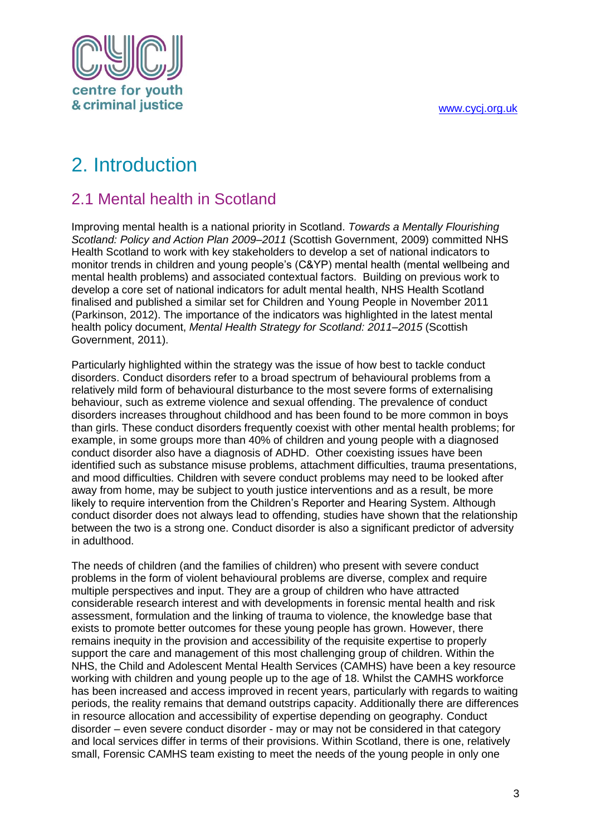

# <span id="page-3-0"></span>2. Introduction

### <span id="page-3-1"></span>2.1 Mental health in Scotland

Improving mental health is a national priority in Scotland. *Towards a Mentally Flourishing Scotland: Policy and Action Plan 2009–2011* (Scottish Government, 2009) committed NHS Health Scotland to work with key stakeholders to develop a set of national indicators to monitor trends in children and young people's (C&YP) mental health (mental wellbeing and mental health problems) and associated contextual factors. Building on previous work to develop a core set of national indicators for adult mental health, NHS Health Scotland finalised and published a similar set for Children and Young People in November 2011 (Parkinson, 2012). The importance of the indicators was highlighted in the latest mental health policy document, *Mental Health Strategy for Scotland: 2011–2015* (Scottish Government, 2011).

Particularly highlighted within the strategy was the issue of how best to tackle conduct disorders. Conduct disorders refer to a broad spectrum of behavioural problems from a relatively mild form of behavioural disturbance to the most severe forms of externalising behaviour, such as extreme violence and sexual offending. The prevalence of conduct disorders increases throughout childhood and has been found to be more common in boys than girls. These conduct disorders frequently coexist with other mental health problems; for example, in some groups more than 40% of children and young people with a diagnosed conduct disorder also have a diagnosis of ADHD. Other coexisting issues have been identified such as substance misuse problems, attachment difficulties, trauma presentations, and mood difficulties. Children with severe conduct problems may need to be looked after away from home, may be subject to youth justice interventions and as a result, be more likely to require intervention from the Children's Reporter and Hearing System. Although conduct disorder does not always lead to offending, studies have shown that the relationship between the two is a strong one. Conduct disorder is also a significant predictor of adversity in adulthood.

The needs of children (and the families of children) who present with severe conduct problems in the form of violent behavioural problems are diverse, complex and require multiple perspectives and input. They are a group of children who have attracted considerable research interest and with developments in forensic mental health and risk assessment, formulation and the linking of trauma to violence, the knowledge base that exists to promote better outcomes for these young people has grown. However, there remains inequity in the provision and accessibility of the requisite expertise to properly support the care and management of this most challenging group of children. Within the NHS, the Child and Adolescent Mental Health Services (CAMHS) have been a key resource working with children and young people up to the age of 18. Whilst the CAMHS workforce has been increased and access improved in recent years, particularly with regards to waiting periods, the reality remains that demand outstrips capacity. Additionally there are differences in resource allocation and accessibility of expertise depending on geography. Conduct disorder – even severe conduct disorder - may or may not be considered in that category and local services differ in terms of their provisions. Within Scotland, there is one, relatively small, Forensic CAMHS team existing to meet the needs of the young people in only one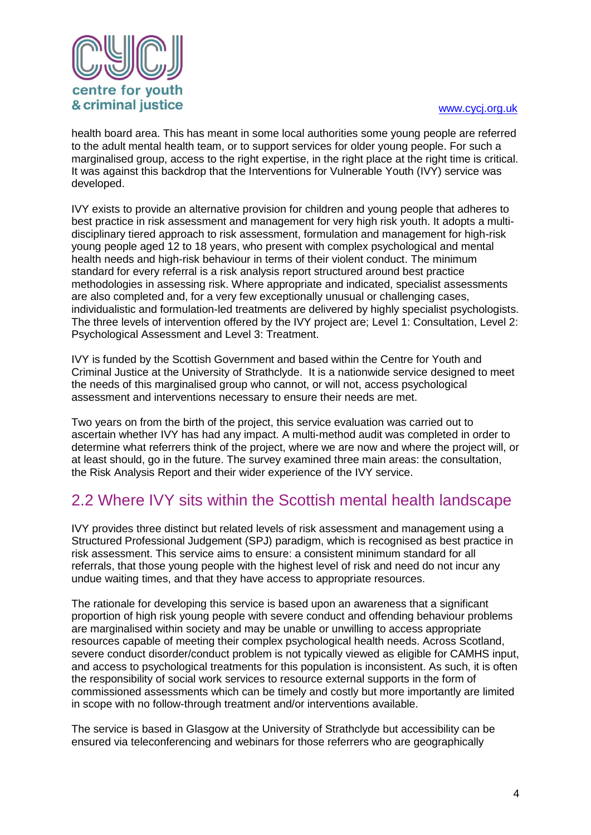



health board area. This has meant in some local authorities some young people are referred to the adult mental health team, or to support services for older young people. For such a marginalised group, access to the right expertise, in the right place at the right time is critical. It was against this backdrop that the Interventions for Vulnerable Youth (IVY) service was developed.

IVY exists to provide an alternative provision for children and young people that adheres to best practice in risk assessment and management for very high risk youth. It adopts a multidisciplinary tiered approach to risk assessment, formulation and management for high-risk young people aged 12 to 18 years, who present with complex psychological and mental health needs and high-risk behaviour in terms of their violent conduct. The minimum standard for every referral is a risk analysis report structured around best practice methodologies in assessing risk. Where appropriate and indicated, specialist assessments are also completed and, for a very few exceptionally unusual or challenging cases, individualistic and formulation-led treatments are delivered by highly specialist psychologists. The three levels of intervention offered by the IVY project are; Level 1: Consultation, Level 2: Psychological Assessment and Level 3: Treatment.

IVY is funded by the Scottish Government and based within the Centre for Youth and Criminal Justice at the University of Strathclyde. It is a nationwide service designed to meet the needs of this marginalised group who cannot, or will not, access psychological assessment and interventions necessary to ensure their needs are met.

Two years on from the birth of the project, this service evaluation was carried out to ascertain whether IVY has had any impact. A multi-method audit was completed in order to determine what referrers think of the project, where we are now and where the project will, or at least should, go in the future. The survey examined three main areas: the consultation, the Risk Analysis Report and their wider experience of the IVY service.

### <span id="page-4-0"></span>2.2 Where IVY sits within the Scottish mental health landscape

IVY provides three distinct but related levels of risk assessment and management using a Structured Professional Judgement (SPJ) paradigm, which is recognised as best practice in risk assessment. This service aims to ensure: a consistent minimum standard for all referrals, that those young people with the highest level of risk and need do not incur any undue waiting times, and that they have access to appropriate resources.

The rationale for developing this service is based upon an awareness that a significant proportion of high risk young people with severe conduct and offending behaviour problems are marginalised within society and may be unable or unwilling to access appropriate resources capable of meeting their complex psychological health needs. Across Scotland, severe conduct disorder/conduct problem is not typically viewed as eligible for CAMHS input, and access to psychological treatments for this population is inconsistent. As such, it is often the responsibility of social work services to resource external supports in the form of commissioned assessments which can be timely and costly but more importantly are limited in scope with no follow-through treatment and/or interventions available.

The service is based in Glasgow at the University of Strathclyde but accessibility can be ensured via teleconferencing and webinars for those referrers who are geographically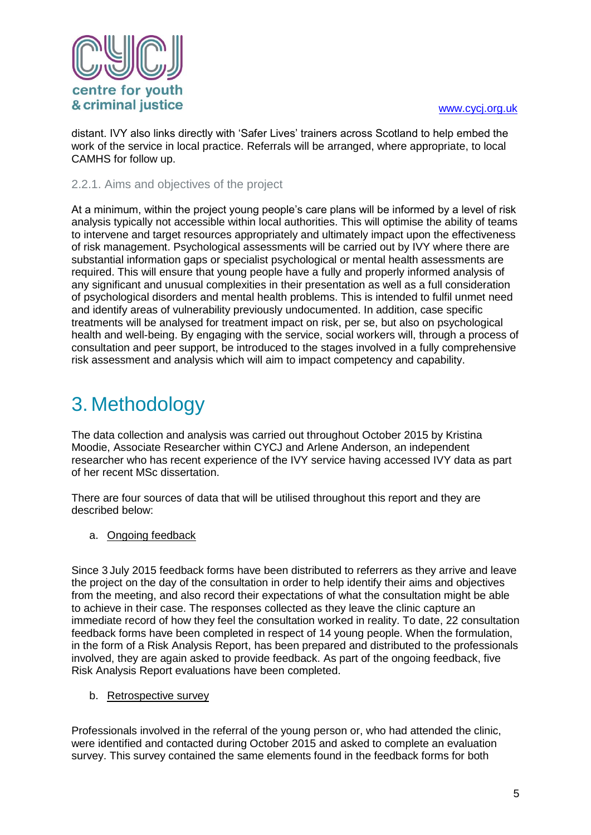

distant. IVY also links directly with 'Safer Lives' trainers across Scotland to help embed the work of the service in local practice. Referrals will be arranged, where appropriate, to local CAMHS for follow up.

#### <span id="page-5-0"></span>2.2.1. Aims and objectives of the project

At a minimum, within the project young people's care plans will be informed by a level of risk analysis typically not accessible within local authorities. This will optimise the ability of teams to intervene and target resources appropriately and ultimately impact upon the effectiveness of risk management. Psychological assessments will be carried out by IVY where there are substantial information gaps or specialist psychological or mental health assessments are required. This will ensure that young people have a fully and properly informed analysis of any significant and unusual complexities in their presentation as well as a full consideration of psychological disorders and mental health problems. This is intended to fulfil unmet need and identify areas of vulnerability previously undocumented. In addition, case specific treatments will be analysed for treatment impact on risk, per se, but also on psychological health and well-being. By engaging with the service, social workers will, through a process of consultation and peer support, be introduced to the stages involved in a fully comprehensive risk assessment and analysis which will aim to impact competency and capability.

### <span id="page-5-1"></span>3. Methodology

The data collection and analysis was carried out throughout October 2015 by Kristina Moodie, Associate Researcher within CYCJ and Arlene Anderson, an independent researcher who has recent experience of the IVY service having accessed IVY data as part of her recent MSc dissertation.

There are four sources of data that will be utilised throughout this report and they are described below:

a. Ongoing feedback

Since 3 July 2015 feedback forms have been distributed to referrers as they arrive and leave the project on the day of the consultation in order to help identify their aims and objectives from the meeting, and also record their expectations of what the consultation might be able to achieve in their case. The responses collected as they leave the clinic capture an immediate record of how they feel the consultation worked in reality. To date, 22 consultation feedback forms have been completed in respect of 14 young people. When the formulation, in the form of a Risk Analysis Report, has been prepared and distributed to the professionals involved, they are again asked to provide feedback. As part of the ongoing feedback, five Risk Analysis Report evaluations have been completed.

b. Retrospective survey

Professionals involved in the referral of the young person or, who had attended the clinic, were identified and contacted during October 2015 and asked to complete an evaluation survey. This survey contained the same elements found in the feedback forms for both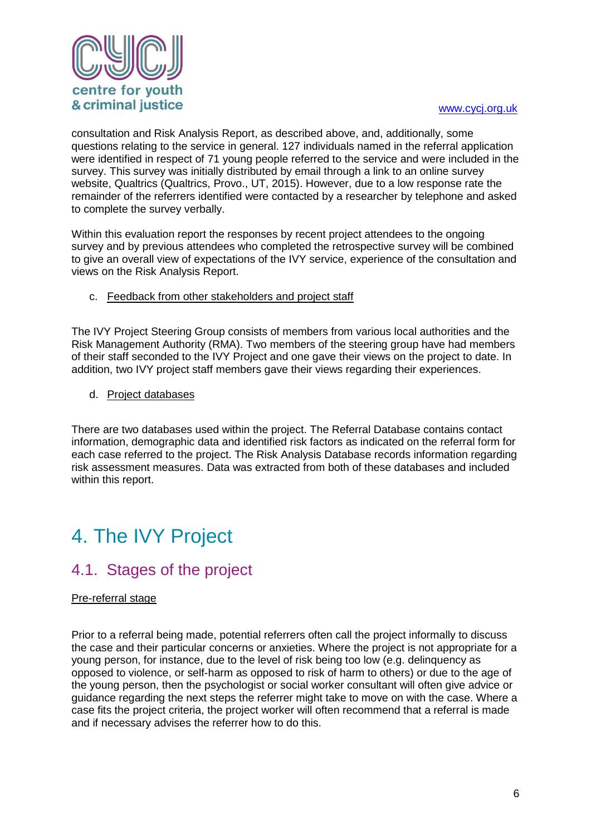

consultation and Risk Analysis Report, as described above, and, additionally, some questions relating to the service in general. 127 individuals named in the referral application were identified in respect of 71 young people referred to the service and were included in the survey. This survey was initially distributed by email through a link to an online survey website, Qualtrics (Qualtrics, Provo., UT, 2015). However, due to a low response rate the remainder of the referrers identified were contacted by a researcher by telephone and asked to complete the survey verbally.

Within this evaluation report the responses by recent project attendees to the ongoing survey and by previous attendees who completed the retrospective survey will be combined to give an overall view of expectations of the IVY service, experience of the consultation and views on the Risk Analysis Report.

c. Feedback from other stakeholders and project staff

The IVY Project Steering Group consists of members from various local authorities and the Risk Management Authority (RMA). Two members of the steering group have had members of their staff seconded to the IVY Project and one gave their views on the project to date. In addition, two IVY project staff members gave their views regarding their experiences.

d. Project databases

There are two databases used within the project. The Referral Database contains contact information, demographic data and identified risk factors as indicated on the referral form for each case referred to the project. The Risk Analysis Database records information regarding risk assessment measures. Data was extracted from both of these databases and included within this report.

# <span id="page-6-0"></span>4. The IVY Project

### <span id="page-6-1"></span>4.1. Stages of the project

#### Pre-referral stage

Prior to a referral being made, potential referrers often call the project informally to discuss the case and their particular concerns or anxieties. Where the project is not appropriate for a young person, for instance, due to the level of risk being too low (e.g. delinquency as opposed to violence, or self-harm as opposed to risk of harm to others) or due to the age of the young person, then the psychologist or social worker consultant will often give advice or guidance regarding the next steps the referrer might take to move on with the case. Where a case fits the project criteria, the project worker will often recommend that a referral is made and if necessary advises the referrer how to do this.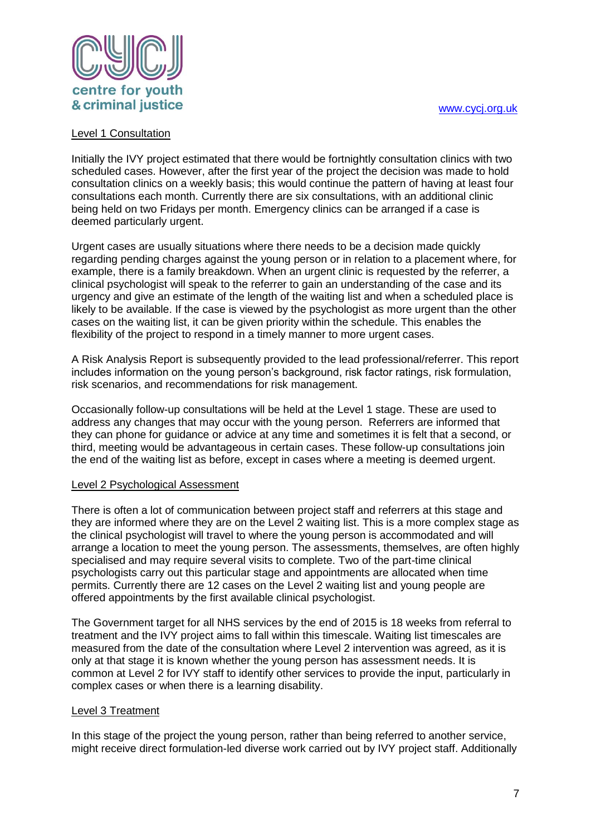

#### Level 1 Consultation

Initially the IVY project estimated that there would be fortnightly consultation clinics with two scheduled cases. However, after the first year of the project the decision was made to hold consultation clinics on a weekly basis; this would continue the pattern of having at least four consultations each month. Currently there are six consultations, with an additional clinic being held on two Fridays per month. Emergency clinics can be arranged if a case is deemed particularly urgent.

Urgent cases are usually situations where there needs to be a decision made quickly regarding pending charges against the young person or in relation to a placement where, for example, there is a family breakdown. When an urgent clinic is requested by the referrer, a clinical psychologist will speak to the referrer to gain an understanding of the case and its urgency and give an estimate of the length of the waiting list and when a scheduled place is likely to be available. If the case is viewed by the psychologist as more urgent than the other cases on the waiting list, it can be given priority within the schedule. This enables the flexibility of the project to respond in a timely manner to more urgent cases.

A Risk Analysis Report is subsequently provided to the lead professional/referrer. This report includes information on the young person's background, risk factor ratings, risk formulation, risk scenarios, and recommendations for risk management.

Occasionally follow-up consultations will be held at the Level 1 stage. These are used to address any changes that may occur with the young person. Referrers are informed that they can phone for guidance or advice at any time and sometimes it is felt that a second, or third, meeting would be advantageous in certain cases. These follow-up consultations join the end of the waiting list as before, except in cases where a meeting is deemed urgent.

#### Level 2 Psychological Assessment

There is often a lot of communication between project staff and referrers at this stage and they are informed where they are on the Level 2 waiting list. This is a more complex stage as the clinical psychologist will travel to where the young person is accommodated and will arrange a location to meet the young person. The assessments, themselves, are often highly specialised and may require several visits to complete. Two of the part-time clinical psychologists carry out this particular stage and appointments are allocated when time permits. Currently there are 12 cases on the Level 2 waiting list and young people are offered appointments by the first available clinical psychologist.

The Government target for all NHS services by the end of 2015 is 18 weeks from referral to treatment and the IVY project aims to fall within this timescale. Waiting list timescales are measured from the date of the consultation where Level 2 intervention was agreed, as it is only at that stage it is known whether the young person has assessment needs. It is common at Level 2 for IVY staff to identify other services to provide the input, particularly in complex cases or when there is a learning disability.

#### Level 3 Treatment

In this stage of the project the young person, rather than being referred to another service, might receive direct formulation-led diverse work carried out by IVY project staff. Additionally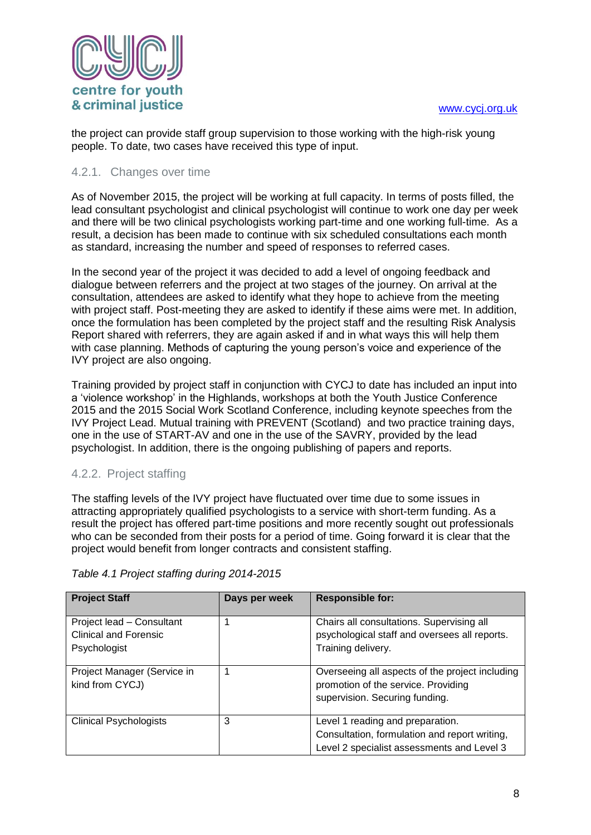

the project can provide staff group supervision to those working with the high-risk young people. To date, two cases have received this type of input.

#### <span id="page-8-0"></span>4.2.1. Changes over time

As of November 2015, the project will be working at full capacity. In terms of posts filled, the lead consultant psychologist and clinical psychologist will continue to work one day per week and there will be two clinical psychologists working part-time and one working full-time. As a result, a decision has been made to continue with six scheduled consultations each month as standard, increasing the number and speed of responses to referred cases.

In the second year of the project it was decided to add a level of ongoing feedback and dialogue between referrers and the project at two stages of the journey. On arrival at the consultation, attendees are asked to identify what they hope to achieve from the meeting with project staff. Post-meeting they are asked to identify if these aims were met. In addition, once the formulation has been completed by the project staff and the resulting Risk Analysis Report shared with referrers, they are again asked if and in what ways this will help them with case planning. Methods of capturing the young person's voice and experience of the IVY project are also ongoing.

Training provided by project staff in conjunction with CYCJ to date has included an input into a 'violence workshop' in the Highlands, workshops at both the Youth Justice Conference 2015 and the 2015 Social Work Scotland Conference, including keynote speeches from the IVY Project Lead. Mutual training with PREVENT (Scotland) and two practice training days, one in the use of START-AV and one in the use of the SAVRY, provided by the lead psychologist. In addition, there is the ongoing publishing of papers and reports.

#### <span id="page-8-1"></span>4.2.2. Project staffing

The staffing levels of the IVY project have fluctuated over time due to some issues in attracting appropriately qualified psychologists to a service with short-term funding. As a result the project has offered part-time positions and more recently sought out professionals who can be seconded from their posts for a period of time. Going forward it is clear that the project would benefit from longer contracts and consistent staffing.

| <b>Project Staff</b>                                      | Days per week | <b>Responsible for:</b>                                                                     |
|-----------------------------------------------------------|---------------|---------------------------------------------------------------------------------------------|
| Project lead - Consultant<br><b>Clinical and Forensic</b> |               | Chairs all consultations. Supervising all<br>psychological staff and oversees all reports.  |
| Psychologist                                              |               | Training delivery.                                                                          |
| Project Manager (Service in<br>kind from CYCJ)            |               | Overseeing all aspects of the project including<br>promotion of the service. Providing      |
|                                                           |               | supervision. Securing funding.                                                              |
| <b>Clinical Psychologists</b>                             | 3             | Level 1 reading and preparation.                                                            |
|                                                           |               | Consultation, formulation and report writing,<br>Level 2 specialist assessments and Level 3 |

*Table 4.1 Project staffing during 2014-2015*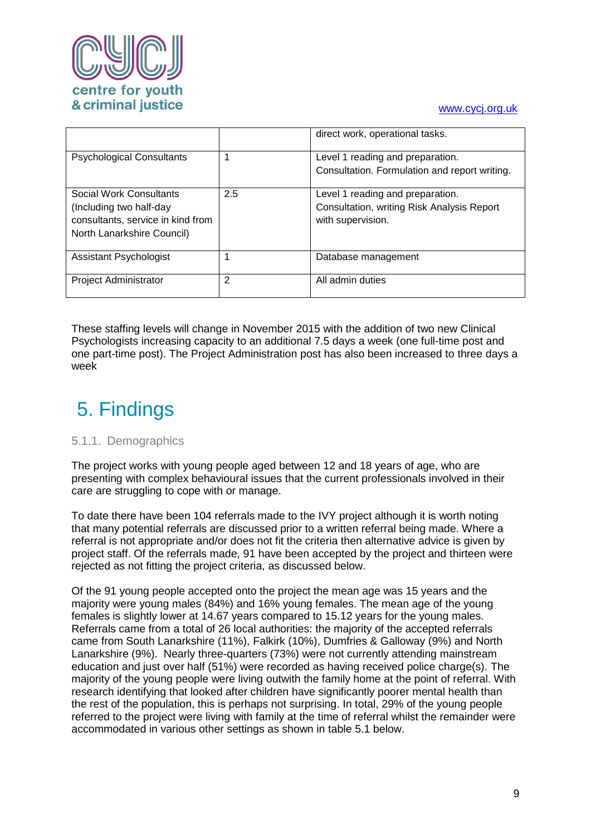

|                                                                                                                       |     | direct work, operational tasks.                                                                     |
|-----------------------------------------------------------------------------------------------------------------------|-----|-----------------------------------------------------------------------------------------------------|
| <b>Psychological Consultants</b>                                                                                      |     | Level 1 reading and preparation.<br>Consultation. Formulation and report writing.                   |
| Social Work Consultants<br>(Including two half-day<br>consultants, service in kind from<br>North Lanarkshire Council) | 2.5 | Level 1 reading and preparation.<br>Consultation, writing Risk Analysis Report<br>with supervision. |
| Assistant Psychologist                                                                                                |     | Database management                                                                                 |
| <b>Project Administrator</b>                                                                                          | 2   | All admin duties                                                                                    |

These staffing levels will change in November 2015 with the addition of two new Clinical Psychologists increasing capacity to an additional 7.5 days a week (one full-time post and one part-time post). The Project Administration post has also been increased to three days a week

# <span id="page-9-0"></span>5. Findings

#### <span id="page-9-1"></span>5.1.1. Demographics

The project works with young people aged between 12 and 18 years of age, who are presenting with complex behavioural issues that the current professionals involved in their care are struggling to cope with or manage.

To date there have been 104 referrals made to the IVY project although it is worth noting that many potential referrals are discussed prior to a written referral being made. Where a referral is not appropriate and/or does not fit the criteria then alternative advice is given by project staff. Of the referrals made, 91 have been accepted by the project and thirteen were rejected as not fitting the project criteria, as discussed below.

Of the 91 young people accepted onto the project the mean age was 15 years and the majority were young males (84%) and 16% young females. The mean age of the young females is slightly lower at 14.67 years compared to 15.12 years for the young males. Referrals came from a total of 26 local authorities: the majority of the accepted referrals came from South Lanarkshire (11%), Falkirk (10%), Dumfries & Galloway (9%) and North Lanarkshire (9%). Nearly three-quarters (73%) were not currently attending mainstream education and just over half (51%) were recorded as having received police charge(s). The majority of the young people were living outwith the family home at the point of referral. With research identifying that looked after children have significantly poorer mental health than the rest of the population, this is perhaps not surprising. In total, 29% of the young people referred to the project were living with family at the time of referral whilst the remainder were accommodated in various other settings as shown in table 5.1 below.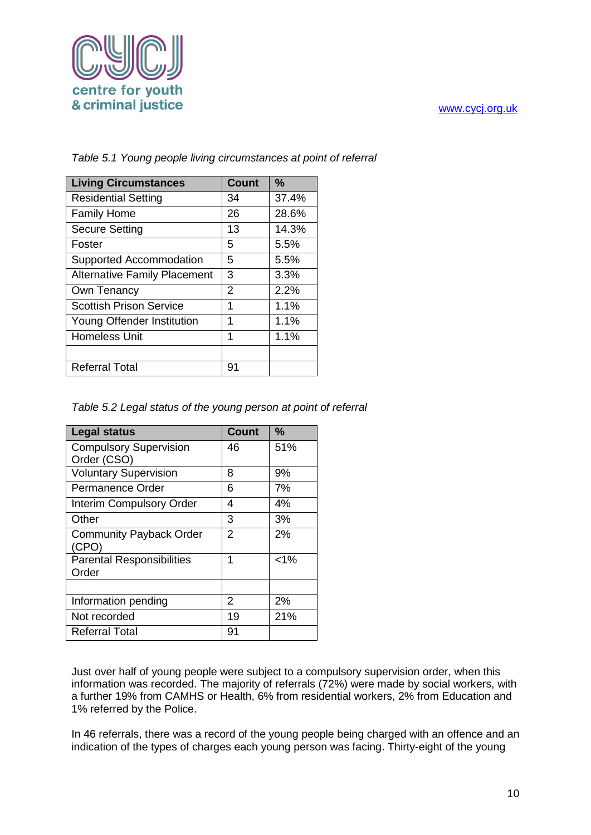

| <b>Living Circumstances</b>         | <b>Count</b> | $\frac{9}{6}$ |
|-------------------------------------|--------------|---------------|
| <b>Residential Setting</b>          | 34           | 37.4%         |
| <b>Family Home</b>                  | 26           | 28.6%         |
| <b>Secure Setting</b>               | 13           | 14.3%         |
| Foster                              | 5            | 5.5%          |
| Supported Accommodation             | 5            | 5.5%          |
| <b>Alternative Family Placement</b> | 3            | 3.3%          |
| Own Tenancy                         | 2            | 2.2%          |
| <b>Scottish Prison Service</b>      | 1            | 1.1%          |
| Young Offender Institution          | 1            | 1.1%          |
| <b>Homeless Unit</b>                | 1            | 1.1%          |
|                                     |              |               |
| <b>Referral Total</b>               | 91           |               |

*Table 5.1 Young people living circumstances at point of referral*

| Table 5.2 Legal status of the young person at point of referral |  |  |  |  |  |  |  |
|-----------------------------------------------------------------|--|--|--|--|--|--|--|
|-----------------------------------------------------------------|--|--|--|--|--|--|--|

| <b>Legal status</b>                          | <b>Count</b> | $\frac{9}{6}$ |
|----------------------------------------------|--------------|---------------|
| <b>Compulsory Supervision</b><br>Order (CSO) | 46           | 51%           |
| <b>Voluntary Supervision</b>                 | 8            | 9%            |
| Permanence Order                             | 6            | 7%            |
| <b>Interim Compulsory Order</b>              | 4            | 4%            |
| Other                                        | 3            | 3%            |
| <b>Community Payback Order</b><br>(CPO)      | 2            | 2%            |
| <b>Parental Responsibilities</b><br>Order    | 1            | $< 1\%$       |
|                                              |              |               |
| Information pending                          | 2            | 2%            |
| Not recorded                                 | 19           | 21%           |
| <b>Referral Total</b>                        | 91           |               |

Just over half of young people were subject to a compulsory supervision order, when this information was recorded. The majority of referrals (72%) were made by social workers, with a further 19% from CAMHS or Health, 6% from residential workers, 2% from Education and 1% referred by the Police.

In 46 referrals, there was a record of the young people being charged with an offence and an indication of the types of charges each young person was facing. Thirty-eight of the young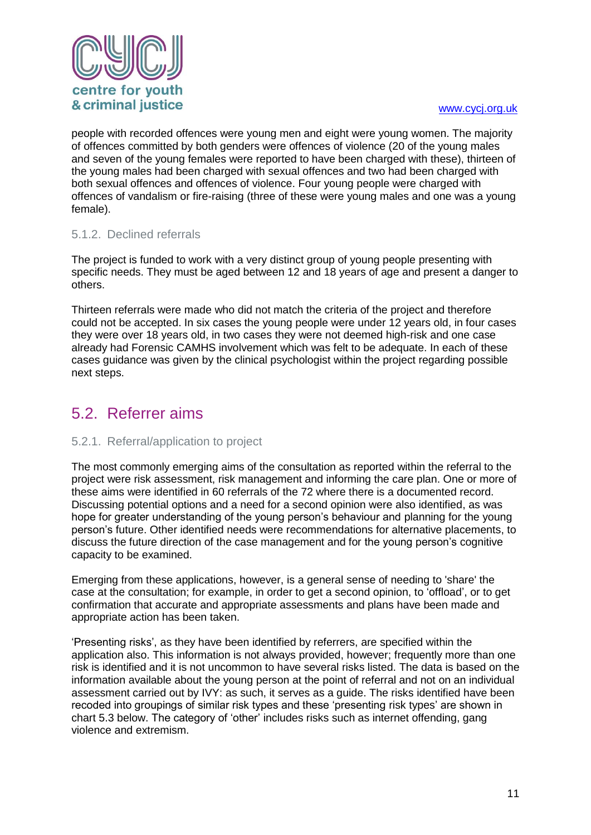

people with recorded offences were young men and eight were young women. The majority of offences committed by both genders were offences of violence (20 of the young males and seven of the young females were reported to have been charged with these), thirteen of the young males had been charged with sexual offences and two had been charged with both sexual offences and offences of violence. Four young people were charged with offences of vandalism or fire-raising (three of these were young males and one was a young female).

#### <span id="page-11-0"></span>5.1.2. Declined referrals

The project is funded to work with a very distinct group of young people presenting with specific needs. They must be aged between 12 and 18 years of age and present a danger to others.

Thirteen referrals were made who did not match the criteria of the project and therefore could not be accepted. In six cases the young people were under 12 years old, in four cases they were over 18 years old, in two cases they were not deemed high-risk and one case already had Forensic CAMHS involvement which was felt to be adequate. In each of these cases guidance was given by the clinical psychologist within the project regarding possible next steps.

### <span id="page-11-1"></span>5.2. Referrer aims

#### <span id="page-11-2"></span>5.2.1. Referral/application to project

The most commonly emerging aims of the consultation as reported within the referral to the project were risk assessment, risk management and informing the care plan. One or more of these aims were identified in 60 referrals of the 72 where there is a documented record. Discussing potential options and a need for a second opinion were also identified, as was hope for greater understanding of the young person's behaviour and planning for the young person's future. Other identified needs were recommendations for alternative placements, to discuss the future direction of the case management and for the young person's cognitive capacity to be examined.

Emerging from these applications, however, is a general sense of needing to 'share' the case at the consultation; for example, in order to get a second opinion, to 'offload', or to get confirmation that accurate and appropriate assessments and plans have been made and appropriate action has been taken.

'Presenting risks', as they have been identified by referrers, are specified within the application also. This information is not always provided, however; frequently more than one risk is identified and it is not uncommon to have several risks listed. The data is based on the information available about the young person at the point of referral and not on an individual assessment carried out by IVY: as such, it serves as a guide. The risks identified have been recoded into groupings of similar risk types and these 'presenting risk types' are shown in chart 5.3 below. The category of 'other' includes risks such as internet offending, gang violence and extremism.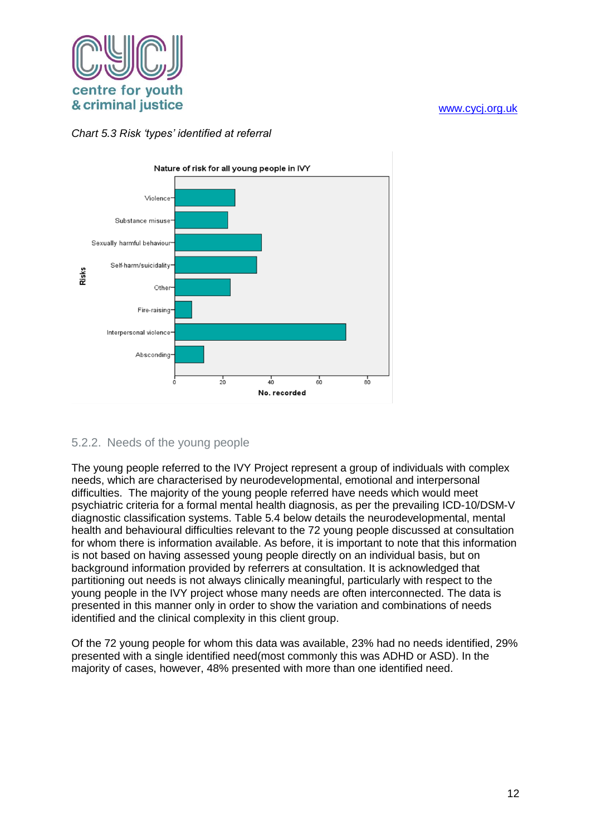

#### *Chart 5.3 Risk 'types' identified at referral*



#### <span id="page-12-0"></span>5.2.2. Needs of the young people

The young people referred to the IVY Project represent a group of individuals with complex needs, which are characterised by neurodevelopmental, emotional and interpersonal difficulties. The majority of the young people referred have needs which would meet psychiatric criteria for a formal mental health diagnosis, as per the prevailing ICD-10/DSM-V diagnostic classification systems. Table 5.4 below details the neurodevelopmental, mental health and behavioural difficulties relevant to the 72 young people discussed at consultation for whom there is information available. As before, it is important to note that this information is not based on having assessed young people directly on an individual basis, but on background information provided by referrers at consultation. It is acknowledged that partitioning out needs is not always clinically meaningful, particularly with respect to the young people in the IVY project whose many needs are often interconnected. The data is presented in this manner only in order to show the variation and combinations of needs identified and the clinical complexity in this client group.

Of the 72 young people for whom this data was available, 23% had no needs identified, 29% presented with a single identified need(most commonly this was ADHD or ASD). In the majority of cases, however, 48% presented with more than one identified need.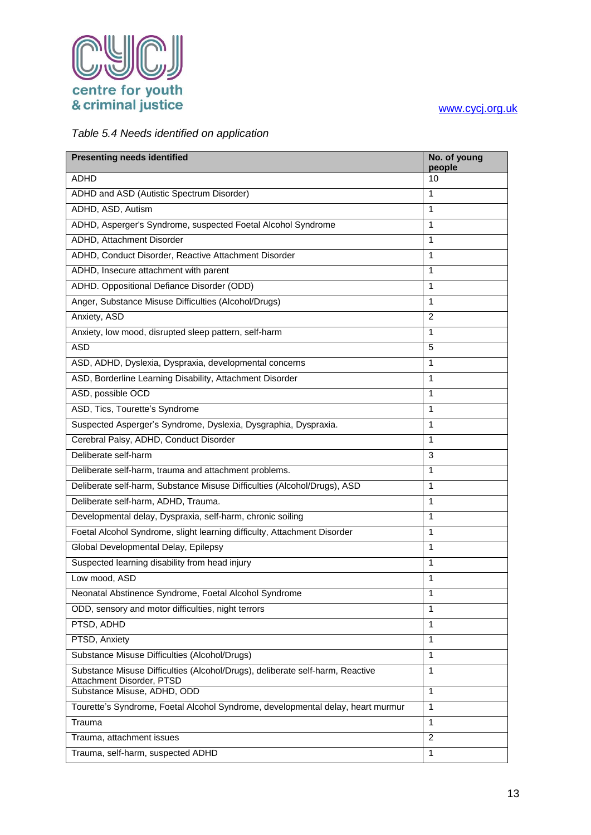

#### *Table 5.4 Needs identified on application*

| <b>Presenting needs identified</b>                                                                         | No. of young<br>people |
|------------------------------------------------------------------------------------------------------------|------------------------|
| <b>ADHD</b>                                                                                                | 10                     |
| ADHD and ASD (Autistic Spectrum Disorder)                                                                  | 1                      |
| ADHD, ASD, Autism                                                                                          | 1                      |
| ADHD, Asperger's Syndrome, suspected Foetal Alcohol Syndrome                                               | 1                      |
| ADHD, Attachment Disorder                                                                                  | 1                      |
| ADHD, Conduct Disorder, Reactive Attachment Disorder                                                       | 1                      |
| ADHD, Insecure attachment with parent                                                                      | 1                      |
| ADHD. Oppositional Defiance Disorder (ODD)                                                                 | 1                      |
| Anger, Substance Misuse Difficulties (Alcohol/Drugs)                                                       | $\mathbf{1}$           |
| Anxiety, ASD                                                                                               | 2                      |
| Anxiety, low mood, disrupted sleep pattern, self-harm                                                      | 1                      |
| <b>ASD</b>                                                                                                 | 5                      |
| ASD, ADHD, Dyslexia, Dyspraxia, developmental concerns                                                     | 1                      |
| ASD, Borderline Learning Disability, Attachment Disorder                                                   | 1                      |
| ASD, possible OCD                                                                                          | 1                      |
| ASD, Tics, Tourette's Syndrome                                                                             | 1                      |
| Suspected Asperger's Syndrome, Dyslexia, Dysgraphia, Dyspraxia.                                            | 1                      |
| Cerebral Palsy, ADHD, Conduct Disorder                                                                     | $\mathbf{1}$           |
| Deliberate self-harm                                                                                       | 3                      |
| Deliberate self-harm, trauma and attachment problems.                                                      | 1                      |
| Deliberate self-harm, Substance Misuse Difficulties (Alcohol/Drugs), ASD                                   | 1                      |
| Deliberate self-harm, ADHD, Trauma.                                                                        | 1                      |
| Developmental delay, Dyspraxia, self-harm, chronic soiling                                                 | 1                      |
| Foetal Alcohol Syndrome, slight learning difficulty, Attachment Disorder                                   | 1                      |
| Global Developmental Delay, Epilepsy                                                                       | 1                      |
| Suspected learning disability from head injury                                                             | 1                      |
| Low mood, ASD                                                                                              | 1                      |
| Neonatal Abstinence Syndrome, Foetal Alcohol Syndrome                                                      | 1                      |
| ODD, sensory and motor difficulties, night terrors                                                         | 1                      |
| PTSD, ADHD                                                                                                 | 1                      |
| PTSD, Anxiety                                                                                              | 1                      |
| Substance Misuse Difficulties (Alcohol/Drugs)                                                              | 1                      |
| Substance Misuse Difficulties (Alcohol/Drugs), deliberate self-harm, Reactive<br>Attachment Disorder, PTSD | $\mathbf{1}$           |
| Substance Misuse, ADHD, ODD                                                                                | 1                      |
| Tourette's Syndrome, Foetal Alcohol Syndrome, developmental delay, heart murmur                            | $\mathbf{1}$           |
| Trauma                                                                                                     | $\mathbf{1}$           |
| Trauma, attachment issues                                                                                  | 2                      |
| Trauma, self-harm, suspected ADHD                                                                          | $\mathbf{1}$           |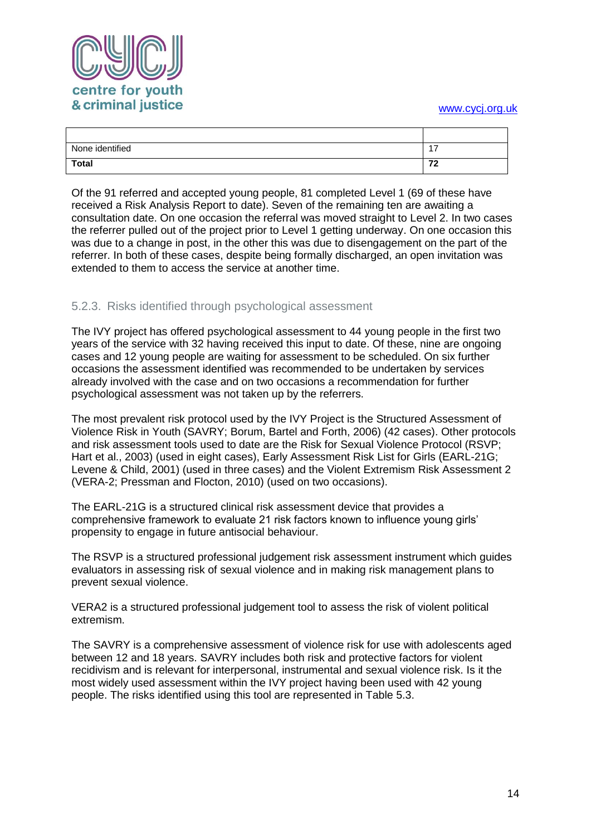

| None identified | $\overline{\phantom{0}}$<br>. . |
|-----------------|---------------------------------|
| Total           | $\overline{z}$<br>-             |

Of the 91 referred and accepted young people, 81 completed Level 1 (69 of these have received a Risk Analysis Report to date). Seven of the remaining ten are awaiting a consultation date. On one occasion the referral was moved straight to Level 2. In two cases the referrer pulled out of the project prior to Level 1 getting underway. On one occasion this was due to a change in post, in the other this was due to disengagement on the part of the referrer. In both of these cases, despite being formally discharged, an open invitation was extended to them to access the service at another time.

#### <span id="page-14-0"></span>5.2.3. Risks identified through psychological assessment

The IVY project has offered psychological assessment to 44 young people in the first two years of the service with 32 having received this input to date. Of these, nine are ongoing cases and 12 young people are waiting for assessment to be scheduled. On six further occasions the assessment identified was recommended to be undertaken by services already involved with the case and on two occasions a recommendation for further psychological assessment was not taken up by the referrers.

The most prevalent risk protocol used by the IVY Project is the Structured Assessment of Violence Risk in Youth (SAVRY; Borum, Bartel and Forth, 2006) (42 cases). Other protocols and risk assessment tools used to date are the Risk for Sexual Violence Protocol (RSVP; Hart et al., 2003) (used in eight cases), Early Assessment Risk List for Girls (EARL-21G; Levene & Child, 2001) (used in three cases) and the Violent Extremism Risk Assessment 2 (VERA-2; Pressman and Flocton, 2010) (used on two occasions).

The EARL-21G is a structured clinical risk assessment device that provides a comprehensive framework to evaluate 21 risk factors known to influence young girls' propensity to engage in future antisocial behaviour.

The RSVP is a structured professional judgement risk assessment instrument which guides evaluators in assessing risk of sexual violence and in making risk management plans to prevent sexual violence.

VERA2 is a structured professional judgement tool to assess the risk of violent political extremism.

The SAVRY is a comprehensive assessment of violence risk for use with adolescents aged between 12 and 18 years. SAVRY includes both risk and protective factors for violent recidivism and is relevant for interpersonal, instrumental and sexual violence risk. Is it the most widely used assessment within the IVY project having been used with 42 young people. The risks identified using this tool are represented in Table 5.3.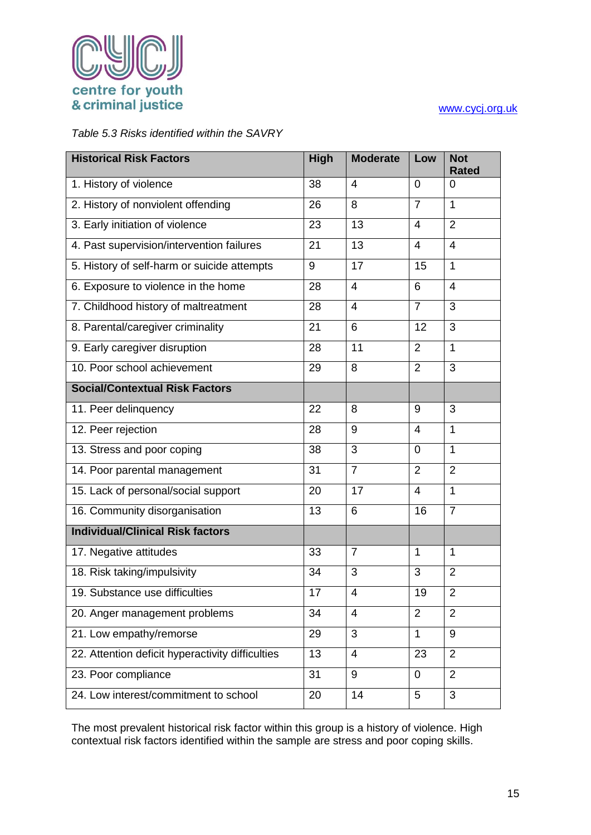

#### *Table 5.3 Risks identified within the SAVRY*

| <b>Historical Risk Factors</b>                   | High | <b>Moderate</b> | Low            | <b>Not</b><br><b>Rated</b> |
|--------------------------------------------------|------|-----------------|----------------|----------------------------|
| 1. History of violence                           | 38   | 4               | $\mathbf 0$    | 0                          |
| 2. History of nonviolent offending               | 26   | 8               | $\overline{7}$ | $\mathbf{1}$               |
| 3. Early initiation of violence                  | 23   | 13              | $\overline{4}$ | $\overline{2}$             |
| 4. Past supervision/intervention failures        | 21   | 13              | $\overline{4}$ | $\overline{4}$             |
| 5. History of self-harm or suicide attempts      | 9    | 17              | 15             | $\mathbf{1}$               |
| 6. Exposure to violence in the home              | 28   | $\overline{4}$  | 6              | $\overline{4}$             |
| 7. Childhood history of maltreatment             | 28   | $\overline{4}$  | $\overline{7}$ | 3                          |
| 8. Parental/caregiver criminality                | 21   | 6               | 12             | 3                          |
| 9. Early caregiver disruption                    | 28   | 11              | 2              | $\mathbf{1}$               |
| 10. Poor school achievement                      | 29   | 8               | $\overline{2}$ | 3                          |
| <b>Social/Contextual Risk Factors</b>            |      |                 |                |                            |
| 11. Peer delinquency                             | 22   | 8               | 9              | 3                          |
| 12. Peer rejection                               | 28   | 9               | 4              | 1                          |
| 13. Stress and poor coping                       | 38   | 3               | $\overline{0}$ | $\mathbf{1}$               |
| 14. Poor parental management                     | 31   | $\overline{7}$  | $\overline{2}$ | $\overline{2}$             |
| 15. Lack of personal/social support              | 20   | 17              | $\overline{4}$ | $\mathbf 1$                |
| 16. Community disorganisation                    | 13   | 6               | 16             | $\overline{7}$             |
| <b>Individual/Clinical Risk factors</b>          |      |                 |                |                            |
| 17. Negative attitudes                           | 33   | $\overline{7}$  | $\mathbf 1$    | $\mathbf 1$                |
| 18. Risk taking/impulsivity                      | 34   | 3               | 3              | $\overline{2}$             |
| 19. Substance use difficulties                   | 17   | 4               | 19             | $\overline{2}$             |
| 20. Anger management problems                    | 34   | 4               | $\overline{2}$ | 2                          |
| 21. Low empathy/remorse                          | 29   | 3               | $\mathbf{1}$   | 9                          |
| 22. Attention deficit hyperactivity difficulties | 13   | 4               | 23             | $\overline{2}$             |
| 23. Poor compliance                              | 31   | 9               | $\mathbf 0$    | $\overline{2}$             |
| 24. Low interest/commitment to school            | 20   | 14              | 5              | 3                          |

The most prevalent historical risk factor within this group is a history of violence. High contextual risk factors identified within the sample are stress and poor coping skills.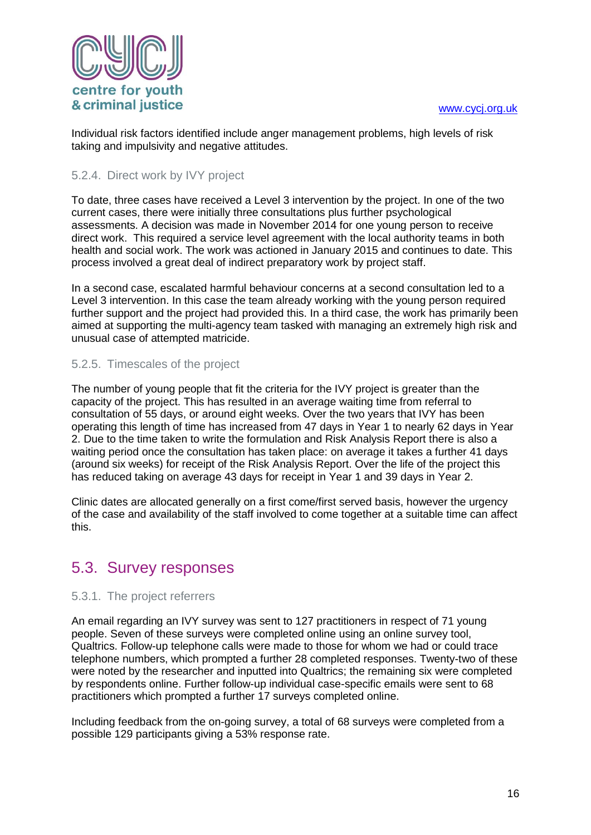

Individual risk factors identified include anger management problems, high levels of risk taking and impulsivity and negative attitudes.

#### <span id="page-16-0"></span>5.2.4. Direct work by IVY project

To date, three cases have received a Level 3 intervention by the project. In one of the two current cases, there were initially three consultations plus further psychological assessments. A decision was made in November 2014 for one young person to receive direct work. This required a service level agreement with the local authority teams in both health and social work. The work was actioned in January 2015 and continues to date. This process involved a great deal of indirect preparatory work by project staff.

In a second case, escalated harmful behaviour concerns at a second consultation led to a Level 3 intervention. In this case the team already working with the young person required further support and the project had provided this. In a third case, the work has primarily been aimed at supporting the multi-agency team tasked with managing an extremely high risk and unusual case of attempted matricide.

#### <span id="page-16-1"></span>5.2.5. Timescales of the project

The number of young people that fit the criteria for the IVY project is greater than the capacity of the project. This has resulted in an average waiting time from referral to consultation of 55 days, or around eight weeks. Over the two years that IVY has been operating this length of time has increased from 47 days in Year 1 to nearly 62 days in Year 2. Due to the time taken to write the formulation and Risk Analysis Report there is also a waiting period once the consultation has taken place: on average it takes a further 41 days (around six weeks) for receipt of the Risk Analysis Report. Over the life of the project this has reduced taking on average 43 days for receipt in Year 1 and 39 days in Year 2.

Clinic dates are allocated generally on a first come/first served basis, however the urgency of the case and availability of the staff involved to come together at a suitable time can affect this.

### <span id="page-16-2"></span>5.3. Survey responses

#### <span id="page-16-3"></span>5.3.1. The project referrers

An email regarding an IVY survey was sent to 127 practitioners in respect of 71 young people. Seven of these surveys were completed online using an online survey tool, Qualtrics. Follow-up telephone calls were made to those for whom we had or could trace telephone numbers, which prompted a further 28 completed responses. Twenty-two of these were noted by the researcher and inputted into Qualtrics; the remaining six were completed by respondents online. Further follow-up individual case-specific emails were sent to 68 practitioners which prompted a further 17 surveys completed online.

Including feedback from the on-going survey, a total of 68 surveys were completed from a possible 129 participants giving a 53% response rate.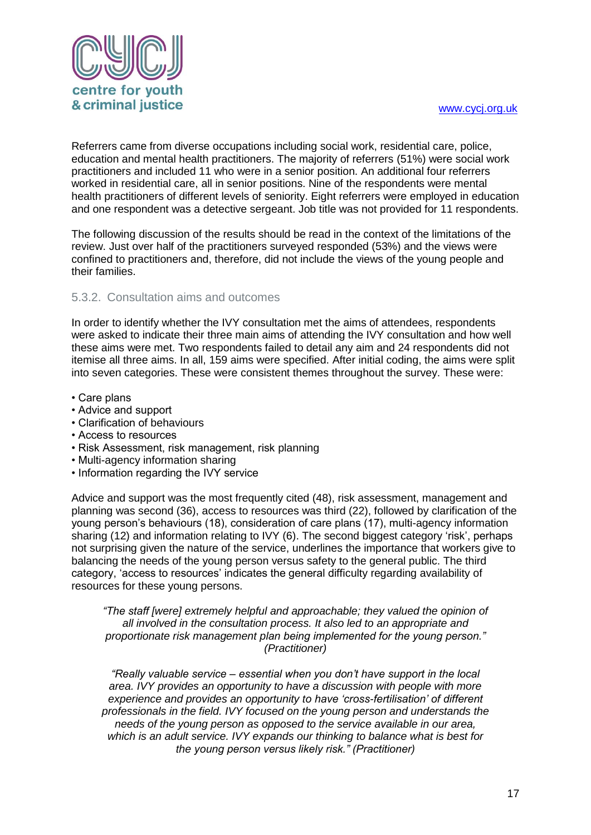

Referrers came from diverse occupations including social work, residential care, police, education and mental health practitioners. The majority of referrers (51%) were social work practitioners and included 11 who were in a senior position. An additional four referrers worked in residential care, all in senior positions. Nine of the respondents were mental health practitioners of different levels of seniority. Eight referrers were employed in education and one respondent was a detective sergeant. Job title was not provided for 11 respondents.

The following discussion of the results should be read in the context of the limitations of the review. Just over half of the practitioners surveyed responded (53%) and the views were confined to practitioners and, therefore, did not include the views of the young people and their families.

#### <span id="page-17-0"></span>5.3.2. Consultation aims and outcomes

In order to identify whether the IVY consultation met the aims of attendees, respondents were asked to indicate their three main aims of attending the IVY consultation and how well these aims were met. Two respondents failed to detail any aim and 24 respondents did not itemise all three aims. In all, 159 aims were specified. After initial coding, the aims were split into seven categories. These were consistent themes throughout the survey. These were:

- Care plans
- Advice and support
- Clarification of behaviours
- Access to resources
- Risk Assessment, risk management, risk planning
- Multi-agency information sharing
- Information regarding the IVY service

Advice and support was the most frequently cited (48), risk assessment, management and planning was second (36), access to resources was third (22), followed by clarification of the young person's behaviours (18), consideration of care plans (17), multi-agency information sharing (12) and information relating to IVY (6). The second biggest category 'risk', perhaps not surprising given the nature of the service, underlines the importance that workers give to balancing the needs of the young person versus safety to the general public. The third category, 'access to resources' indicates the general difficulty regarding availability of resources for these young persons.

*"The staff [were] extremely helpful and approachable; they valued the opinion of all involved in the consultation process. It also led to an appropriate and proportionate risk management plan being implemented for the young person." (Practitioner)*

*"Really valuable service – essential when you don't have support in the local area. IVY provides an opportunity to have a discussion with people with more experience and provides an opportunity to have 'cross-fertilisation' of different professionals in the field. IVY focused on the young person and understands the needs of the young person as opposed to the service available in our area, which is an adult service. IVY expands our thinking to balance what is best for the young person versus likely risk." (Practitioner)*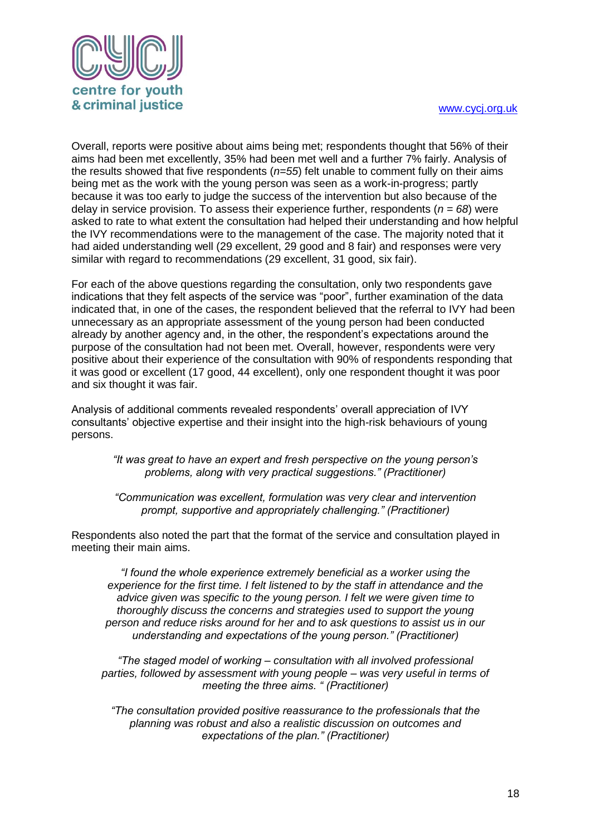

Overall, reports were positive about aims being met; respondents thought that 56% of their aims had been met excellently, 35% had been met well and a further 7% fairly. Analysis of the results showed that five respondents (*n=55*) felt unable to comment fully on their aims being met as the work with the young person was seen as a work-in-progress; partly because it was too early to judge the success of the intervention but also because of the delay in service provision. To assess their experience further, respondents (*n = 68*) were asked to rate to what extent the consultation had helped their understanding and how helpful the IVY recommendations were to the management of the case. The majority noted that it had aided understanding well (29 excellent, 29 good and 8 fair) and responses were very similar with regard to recommendations (29 excellent, 31 good, six fair).

For each of the above questions regarding the consultation, only two respondents gave indications that they felt aspects of the service was "poor", further examination of the data indicated that, in one of the cases, the respondent believed that the referral to IVY had been unnecessary as an appropriate assessment of the young person had been conducted already by another agency and, in the other, the respondent's expectations around the purpose of the consultation had not been met. Overall, however, respondents were very positive about their experience of the consultation with 90% of respondents responding that it was good or excellent (17 good, 44 excellent), only one respondent thought it was poor and six thought it was fair.

Analysis of additional comments revealed respondents' overall appreciation of IVY consultants' objective expertise and their insight into the high-risk behaviours of young persons.

*"It was great to have an expert and fresh perspective on the young person's problems, along with very practical suggestions." (Practitioner)*

*"Communication was excellent, formulation was very clear and intervention prompt, supportive and appropriately challenging." (Practitioner)*

Respondents also noted the part that the format of the service and consultation played in meeting their main aims.

*"I found the whole experience extremely beneficial as a worker using the experience for the first time. I felt listened to by the staff in attendance and the advice given was specific to the young person. I felt we were given time to thoroughly discuss the concerns and strategies used to support the young person and reduce risks around for her and to ask questions to assist us in our understanding and expectations of the young person." (Practitioner)*

*"The staged model of working – consultation with all involved professional parties, followed by assessment with young people – was very useful in terms of meeting the three aims. " (Practitioner)*

*"The consultation provided positive reassurance to the professionals that the planning was robust and also a realistic discussion on outcomes and expectations of the plan." (Practitioner)*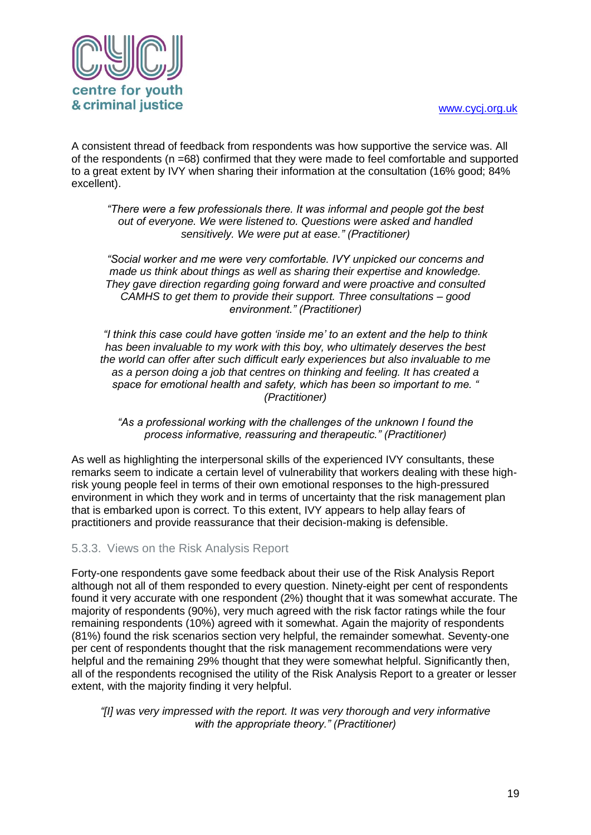

A consistent thread of feedback from respondents was how supportive the service was. All of the respondents (n =68) confirmed that they were made to feel comfortable and supported to a great extent by IVY when sharing their information at the consultation (16% good; 84% excellent).

*"There were a few professionals there. It was informal and people got the best out of everyone. We were listened to. Questions were asked and handled sensitively. We were put at ease." (Practitioner)*

*"Social worker and me were very comfortable. IVY unpicked our concerns and made us think about things as well as sharing their expertise and knowledge. They gave direction regarding going forward and were proactive and consulted CAMHS to get them to provide their support. Three consultations – good environment." (Practitioner)*

*"I think this case could have gotten 'inside me' to an extent and the help to think has been invaluable to my work with this boy, who ultimately deserves the best the world can offer after such difficult early experiences but also invaluable to me as a person doing a job that centres on thinking and feeling. It has created a space for emotional health and safety, which has been so important to me. " (Practitioner)*

*"As a professional working with the challenges of the unknown I found the process informative, reassuring and therapeutic." (Practitioner)*

As well as highlighting the interpersonal skills of the experienced IVY consultants, these remarks seem to indicate a certain level of vulnerability that workers dealing with these highrisk young people feel in terms of their own emotional responses to the high-pressured environment in which they work and in terms of uncertainty that the risk management plan that is embarked upon is correct. To this extent, IVY appears to help allay fears of practitioners and provide reassurance that their decision-making is defensible.

#### <span id="page-19-0"></span>5.3.3. Views on the Risk Analysis Report

Forty-one respondents gave some feedback about their use of the Risk Analysis Report although not all of them responded to every question. Ninety-eight per cent of respondents found it very accurate with one respondent (2%) thought that it was somewhat accurate. The majority of respondents (90%), very much agreed with the risk factor ratings while the four remaining respondents (10%) agreed with it somewhat. Again the majority of respondents (81%) found the risk scenarios section very helpful, the remainder somewhat. Seventy-one per cent of respondents thought that the risk management recommendations were very helpful and the remaining 29% thought that they were somewhat helpful. Significantly then, all of the respondents recognised the utility of the Risk Analysis Report to a greater or lesser extent, with the majority finding it very helpful.

*"[I] was very impressed with the report. It was very thorough and very informative with the appropriate theory." (Practitioner)*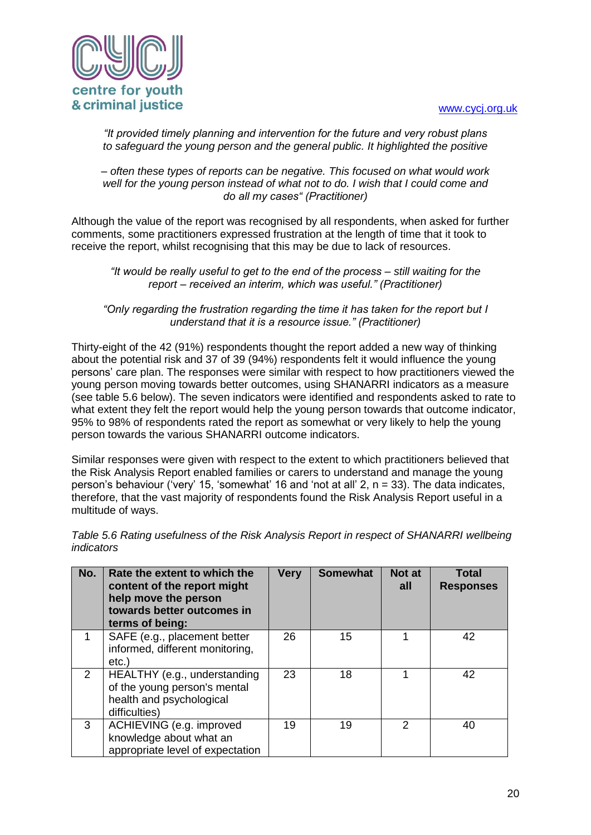

*"It provided timely planning and intervention for the future and very robust plans to safeguard the young person and the general public. It highlighted the positive* 

*– often these types of reports can be negative. This focused on what would work well for the young person instead of what not to do. I wish that I could come and do all my cases" (Practitioner)*

Although the value of the report was recognised by all respondents, when asked for further comments, some practitioners expressed frustration at the length of time that it took to receive the report, whilst recognising that this may be due to lack of resources.

*"It would be really useful to get to the end of the process – still waiting for the report – received an interim, which was useful." (Practitioner)*

*"Only regarding the frustration regarding the time it has taken for the report but I understand that it is a resource issue." (Practitioner)*

Thirty-eight of the 42 (91%) respondents thought the report added a new way of thinking about the potential risk and 37 of 39 (94%) respondents felt it would influence the young persons' care plan. The responses were similar with respect to how practitioners viewed the young person moving towards better outcomes, using SHANARRI indicators as a measure (see table 5.6 below). The seven indicators were identified and respondents asked to rate to what extent they felt the report would help the young person towards that outcome indicator, 95% to 98% of respondents rated the report as somewhat or very likely to help the young person towards the various SHANARRI outcome indicators.

Similar responses were given with respect to the extent to which practitioners believed that the Risk Analysis Report enabled families or carers to understand and manage the young person's behaviour ('very' 15, 'somewhat' 16 and 'not at all' 2, n = 33). The data indicates, therefore, that the vast majority of respondents found the Risk Analysis Report useful in a multitude of ways.

| No. | Rate the extent to which the<br>content of the report might<br>help move the person<br>towards better outcomes in<br>terms of being: | <b>Very</b> | <b>Somewhat</b> | Not at<br>all | Total<br><b>Responses</b> |
|-----|--------------------------------------------------------------------------------------------------------------------------------------|-------------|-----------------|---------------|---------------------------|
|     | SAFE (e.g., placement better<br>informed, different monitoring,<br>etc.)                                                             | 26          | 15              |               | 42                        |
| 2   | HEALTHY (e.g., understanding<br>of the young person's mental<br>health and psychological<br>difficulties)                            | 23          | 18              |               | 42                        |
| 3   | ACHIEVING (e.g. improved<br>knowledge about what an<br>appropriate level of expectation                                              | 19          | 19              | 2             | 40                        |

*Table 5.6 Rating usefulness of the Risk Analysis Report in respect of SHANARRI wellbeing indicators*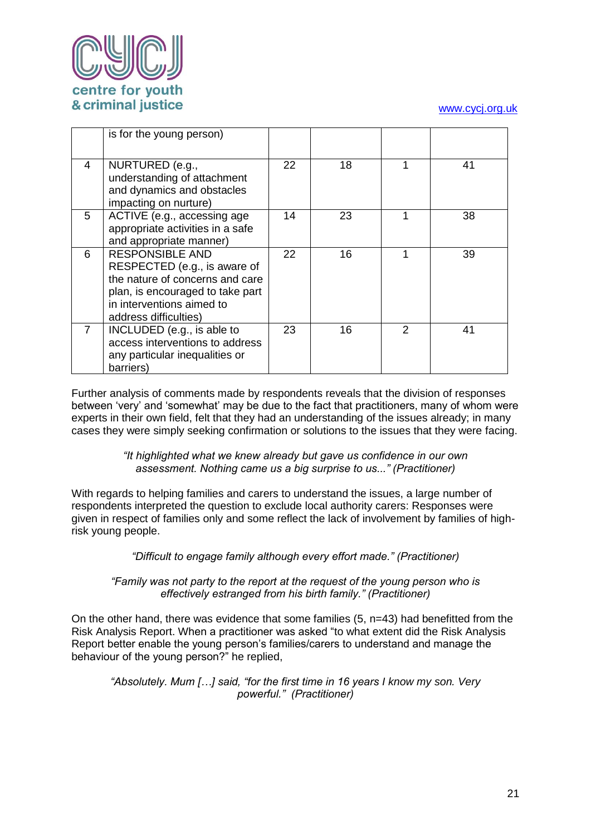

|   | is for the young person)                                                                                                                                                            |    |    |               |    |
|---|-------------------------------------------------------------------------------------------------------------------------------------------------------------------------------------|----|----|---------------|----|
| 4 | NURTURED (e.g.,<br>understanding of attachment<br>and dynamics and obstacles<br>impacting on nurture)                                                                               | 22 | 18 |               | 41 |
| 5 | ACTIVE (e.g., accessing age<br>appropriate activities in a safe<br>and appropriate manner)                                                                                          | 14 | 23 |               | 38 |
| 6 | <b>RESPONSIBLE AND</b><br>RESPECTED (e.g., is aware of<br>the nature of concerns and care<br>plan, is encouraged to take part<br>in interventions aimed to<br>address difficulties) | 22 | 16 | 1             | 39 |
|   | INCLUDED (e.g., is able to<br>access interventions to address<br>any particular inequalities or<br>barriers)                                                                        | 23 | 16 | $\mathcal{P}$ | 41 |

Further analysis of comments made by respondents reveals that the division of responses between 'very' and 'somewhat' may be due to the fact that practitioners, many of whom were experts in their own field, felt that they had an understanding of the issues already; in many cases they were simply seeking confirmation or solutions to the issues that they were facing.

> *"It highlighted what we knew already but gave us confidence in our own assessment. Nothing came us a big surprise to us..." (Practitioner)*

With regards to helping families and carers to understand the issues, a large number of respondents interpreted the question to exclude local authority carers: Responses were given in respect of families only and some reflect the lack of involvement by families of highrisk young people.

*"Difficult to engage family although every effort made." (Practitioner)*

#### *"Family was not party to the report at the request of the young person who is effectively estranged from his birth family." (Practitioner)*

On the other hand, there was evidence that some families  $(5, n=43)$  had benefitted from the Risk Analysis Report. When a practitioner was asked "to what extent did the Risk Analysis Report better enable the young person's families/carers to understand and manage the behaviour of the young person?" he replied,

*"Absolutely. Mum […] said, "for the first time in 16 years I know my son. Very powerful." (Practitioner)*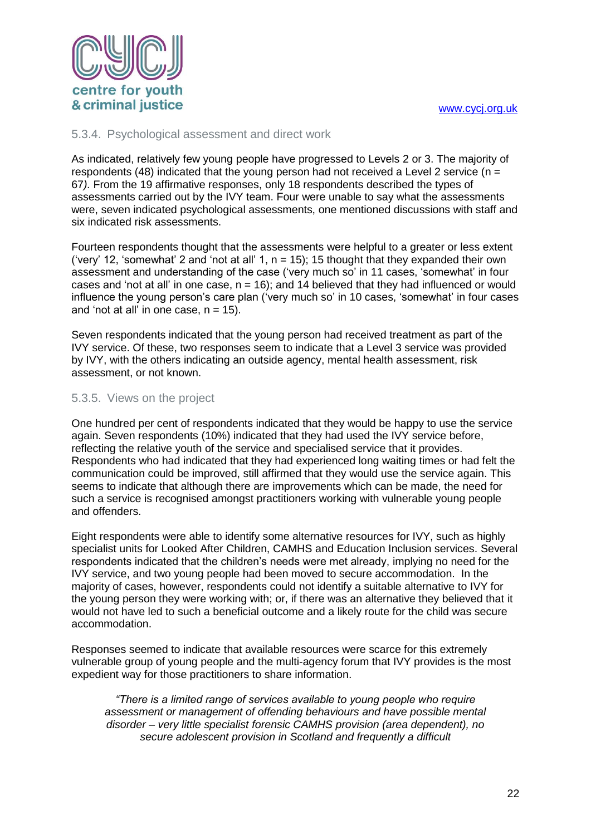

#### <span id="page-22-0"></span>5.3.4. Psychological assessment and direct work

As indicated, relatively few young people have progressed to Levels 2 or 3. The majority of respondents (48) indicated that the young person had not received a Level 2 service ( $n =$ 67*).* From the 19 affirmative responses, only 18 respondents described the types of assessments carried out by the IVY team. Four were unable to say what the assessments were, seven indicated psychological assessments, one mentioned discussions with staff and six indicated risk assessments.

Fourteen respondents thought that the assessments were helpful to a greater or less extent ('very' 12, 'somewhat' 2 and 'not at all' 1,  $n = 15$ ); 15 thought that they expanded their own assessment and understanding of the case ('very much so' in 11 cases, 'somewhat' in four cases and 'not at all' in one case,  $n = 16$ ); and 14 believed that they had influenced or would influence the young person's care plan ('very much so' in 10 cases, 'somewhat' in four cases and 'not at all' in one case,  $n = 15$ ).

Seven respondents indicated that the young person had received treatment as part of the IVY service. Of these, two responses seem to indicate that a Level 3 service was provided by IVY, with the others indicating an outside agency, mental health assessment, risk assessment, or not known.

#### <span id="page-22-1"></span>5.3.5. Views on the project

One hundred per cent of respondents indicated that they would be happy to use the service again. Seven respondents (10%) indicated that they had used the IVY service before, reflecting the relative youth of the service and specialised service that it provides. Respondents who had indicated that they had experienced long waiting times or had felt the communication could be improved, still affirmed that they would use the service again. This seems to indicate that although there are improvements which can be made, the need for such a service is recognised amongst practitioners working with vulnerable young people and offenders.

Eight respondents were able to identify some alternative resources for IVY, such as highly specialist units for Looked After Children, CAMHS and Education Inclusion services. Several respondents indicated that the children's needs were met already, implying no need for the IVY service, and two young people had been moved to secure accommodation. In the majority of cases, however, respondents could not identify a suitable alternative to IVY for the young person they were working with; or, if there was an alternative they believed that it would not have led to such a beneficial outcome and a likely route for the child was secure accommodation.

Responses seemed to indicate that available resources were scarce for this extremely vulnerable group of young people and the multi-agency forum that IVY provides is the most expedient way for those practitioners to share information.

*"There is a limited range of services available to young people who require assessment or management of offending behaviours and have possible mental disorder – very little specialist forensic CAMHS provision (area dependent), no secure adolescent provision in Scotland and frequently a difficult*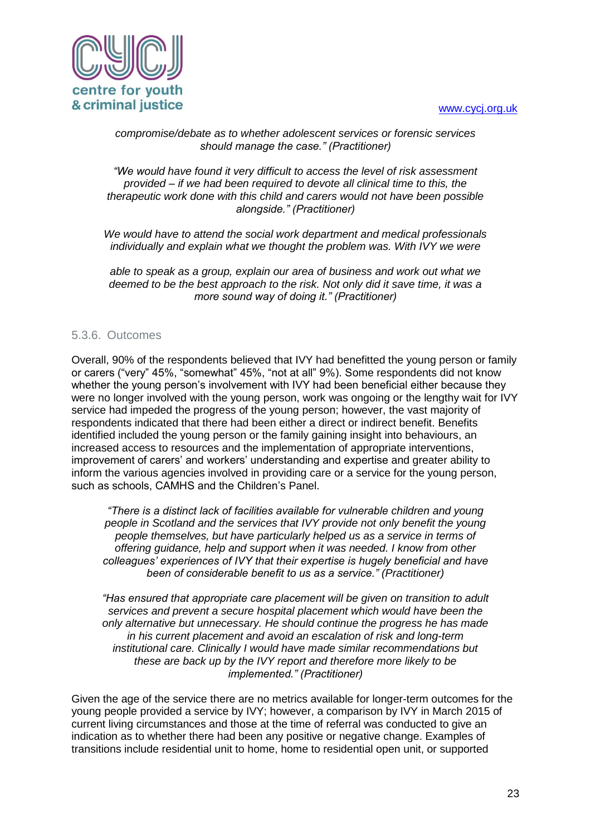

#### *compromise/debate as to whether adolescent services or forensic services should manage the case." (Practitioner)*

*"We would have found it very difficult to access the level of risk assessment provided – if we had been required to devote all clinical time to this, the therapeutic work done with this child and carers would not have been possible alongside." (Practitioner)*

*We would have to attend the social work department and medical professionals individually and explain what we thought the problem was. With IVY we were* 

*able to speak as a group, explain our area of business and work out what we deemed to be the best approach to the risk. Not only did it save time, it was a more sound way of doing it." (Practitioner)*

#### <span id="page-23-0"></span>5.3.6. Outcomes

Overall, 90% of the respondents believed that IVY had benefitted the young person or family or carers ("very" 45%, "somewhat" 45%, "not at all" 9%). Some respondents did not know whether the young person's involvement with IVY had been beneficial either because they were no longer involved with the young person, work was ongoing or the lengthy wait for IVY service had impeded the progress of the young person; however, the vast majority of respondents indicated that there had been either a direct or indirect benefit. Benefits identified included the young person or the family gaining insight into behaviours, an increased access to resources and the implementation of appropriate interventions, improvement of carers' and workers' understanding and expertise and greater ability to inform the various agencies involved in providing care or a service for the young person, such as schools, CAMHS and the Children's Panel.

*"There is a distinct lack of facilities available for vulnerable children and young people in Scotland and the services that IVY provide not only benefit the young people themselves, but have particularly helped us as a service in terms of offering guidance, help and support when it was needed. I know from other colleagues' experiences of IVY that their expertise is hugely beneficial and have been of considerable benefit to us as a service." (Practitioner)*

*"Has ensured that appropriate care placement will be given on transition to adult services and prevent a secure hospital placement which would have been the only alternative but unnecessary. He should continue the progress he has made in his current placement and avoid an escalation of risk and long-term institutional care. Clinically I would have made similar recommendations but these are back up by the IVY report and therefore more likely to be implemented." (Practitioner)*

Given the age of the service there are no metrics available for longer-term outcomes for the young people provided a service by IVY; however, a comparison by IVY in March 2015 of current living circumstances and those at the time of referral was conducted to give an indication as to whether there had been any positive or negative change. Examples of transitions include residential unit to home, home to residential open unit, or supported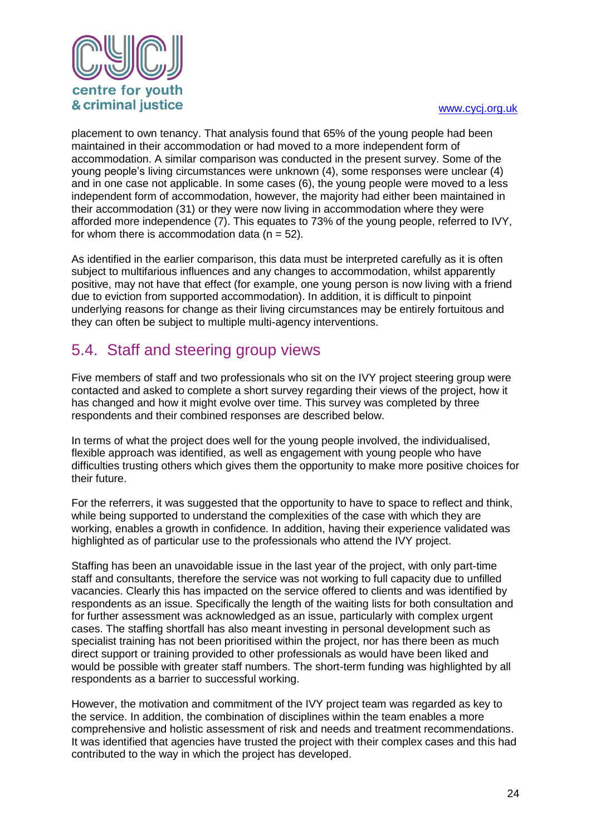

placement to own tenancy. That analysis found that 65% of the young people had been maintained in their accommodation or had moved to a more independent form of accommodation. A similar comparison was conducted in the present survey. Some of the young people's living circumstances were unknown (4), some responses were unclear (4) and in one case not applicable. In some cases (6), the young people were moved to a less independent form of accommodation, however, the majority had either been maintained in their accommodation (31) or they were now living in accommodation where they were afforded more independence (7). This equates to 73% of the young people, referred to IVY, for whom there is accommodation data  $(n = 52)$ .

As identified in the earlier comparison, this data must be interpreted carefully as it is often subject to multifarious influences and any changes to accommodation, whilst apparently positive, may not have that effect (for example, one young person is now living with a friend due to eviction from supported accommodation). In addition, it is difficult to pinpoint underlying reasons for change as their living circumstances may be entirely fortuitous and they can often be subject to multiple multi-agency interventions.

### <span id="page-24-0"></span>5.4. Staff and steering group views

Five members of staff and two professionals who sit on the IVY project steering group were contacted and asked to complete a short survey regarding their views of the project, how it has changed and how it might evolve over time. This survey was completed by three respondents and their combined responses are described below.

In terms of what the project does well for the young people involved, the individualised, flexible approach was identified, as well as engagement with young people who have difficulties trusting others which gives them the opportunity to make more positive choices for their future.

For the referrers, it was suggested that the opportunity to have to space to reflect and think, while being supported to understand the complexities of the case with which they are working, enables a growth in confidence. In addition, having their experience validated was highlighted as of particular use to the professionals who attend the IVY project.

Staffing has been an unavoidable issue in the last year of the project, with only part-time staff and consultants, therefore the service was not working to full capacity due to unfilled vacancies. Clearly this has impacted on the service offered to clients and was identified by respondents as an issue. Specifically the length of the waiting lists for both consultation and for further assessment was acknowledged as an issue, particularly with complex urgent cases. The staffing shortfall has also meant investing in personal development such as specialist training has not been prioritised within the project, nor has there been as much direct support or training provided to other professionals as would have been liked and would be possible with greater staff numbers. The short-term funding was highlighted by all respondents as a barrier to successful working.

However, the motivation and commitment of the IVY project team was regarded as key to the service. In addition, the combination of disciplines within the team enables a more comprehensive and holistic assessment of risk and needs and treatment recommendations. It was identified that agencies have trusted the project with their complex cases and this had contributed to the way in which the project has developed.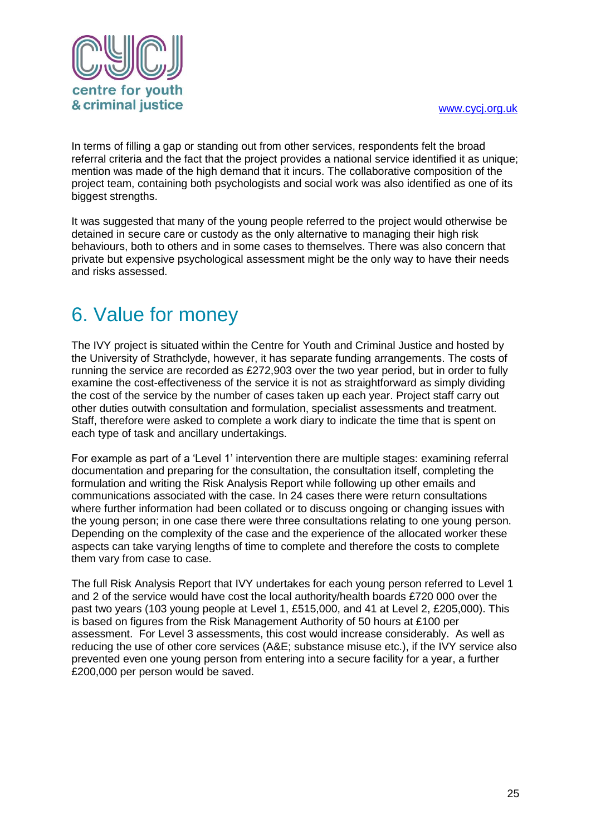

In terms of filling a gap or standing out from other services, respondents felt the broad referral criteria and the fact that the project provides a national service identified it as unique; mention was made of the high demand that it incurs. The collaborative composition of the project team, containing both psychologists and social work was also identified as one of its biggest strengths.

It was suggested that many of the young people referred to the project would otherwise be detained in secure care or custody as the only alternative to managing their high risk behaviours, both to others and in some cases to themselves. There was also concern that private but expensive psychological assessment might be the only way to have their needs and risks assessed.

# <span id="page-25-0"></span>6. Value for money

The IVY project is situated within the Centre for Youth and Criminal Justice and hosted by the University of Strathclyde, however, it has separate funding arrangements. The costs of running the service are recorded as £272,903 over the two year period, but in order to fully examine the cost-effectiveness of the service it is not as straightforward as simply dividing the cost of the service by the number of cases taken up each year. Project staff carry out other duties outwith consultation and formulation, specialist assessments and treatment. Staff, therefore were asked to complete a work diary to indicate the time that is spent on each type of task and ancillary undertakings.

For example as part of a 'Level 1' intervention there are multiple stages: examining referral documentation and preparing for the consultation, the consultation itself, completing the formulation and writing the Risk Analysis Report while following up other emails and communications associated with the case. In 24 cases there were return consultations where further information had been collated or to discuss ongoing or changing issues with the young person; in one case there were three consultations relating to one young person. Depending on the complexity of the case and the experience of the allocated worker these aspects can take varying lengths of time to complete and therefore the costs to complete them vary from case to case.

The full Risk Analysis Report that IVY undertakes for each young person referred to Level 1 and 2 of the service would have cost the local authority/health boards £720 000 over the past two years (103 young people at Level 1, £515,000, and 41 at Level 2, £205,000). This is based on figures from the Risk Management Authority of 50 hours at £100 per assessment. For Level 3 assessments, this cost would increase considerably. As well as reducing the use of other core services (A&E; substance misuse etc.), if the IVY service also prevented even one young person from entering into a secure facility for a year, a further £200,000 per person would be saved.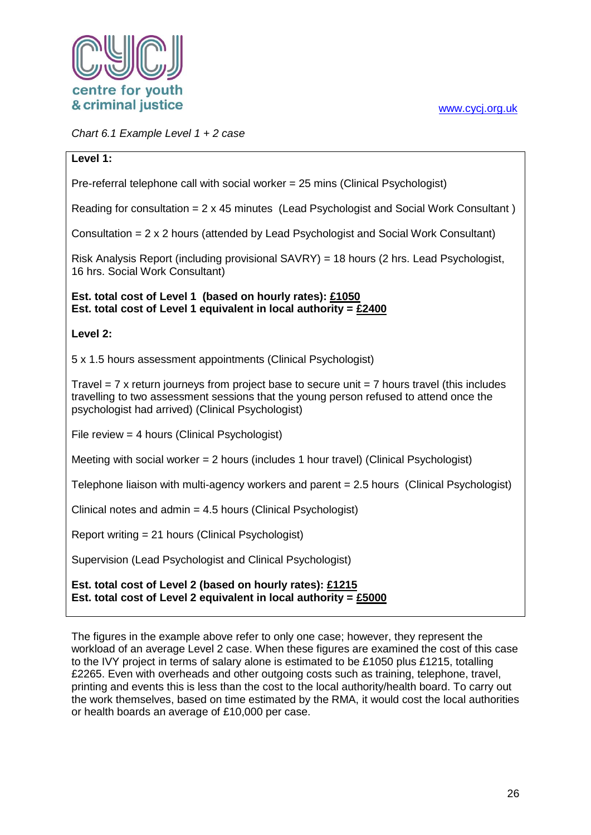*Chart 6.1 Example Level 1 + 2 case*

#### **Level 1:**

Pre-referral telephone call with social worker = 25 mins (Clinical Psychologist)

Reading for consultation = 2 x 45 minutes (Lead Psychologist and Social Work Consultant )

Consultation = 2 x 2 hours (attended by Lead Psychologist and Social Work Consultant)

Risk Analysis Report (including provisional SAVRY) = 18 hours (2 hrs. Lead Psychologist, 16 hrs. Social Work Consultant)

#### **Est. total cost of Level 1 (based on hourly rates): £1050 Est. total cost of Level 1 equivalent in local authority = £2400**

#### **Level 2:**

5 x 1.5 hours assessment appointments (Clinical Psychologist)

Travel  $= 7$  x return journeys from project base to secure unit  $= 7$  hours travel (this includes travelling to two assessment sessions that the young person refused to attend once the psychologist had arrived) (Clinical Psychologist)

File review = 4 hours (Clinical Psychologist)

Meeting with social worker  $= 2$  hours (includes 1 hour travel) (Clinical Psychologist)

Telephone liaison with multi-agency workers and parent = 2.5 hours (Clinical Psychologist)

Clinical notes and admin = 4.5 hours (Clinical Psychologist)

Report writing = 21 hours (Clinical Psychologist)

Supervision (Lead Psychologist and Clinical Psychologist)

#### **Est. total cost of Level 2 (based on hourly rates): £1215 Est. total cost of Level 2 equivalent in local authority = £5000**

The figures in the example above refer to only one case; however, they represent the workload of an average Level 2 case. When these figures are examined the cost of this case to the IVY project in terms of salary alone is estimated to be £1050 plus £1215, totalling £2265. Even with overheads and other outgoing costs such as training, telephone, travel, printing and events this is less than the cost to the local authority/health board. To carry out the work themselves, based on time estimated by the RMA, it would cost the local authorities or health boards an average of £10,000 per case.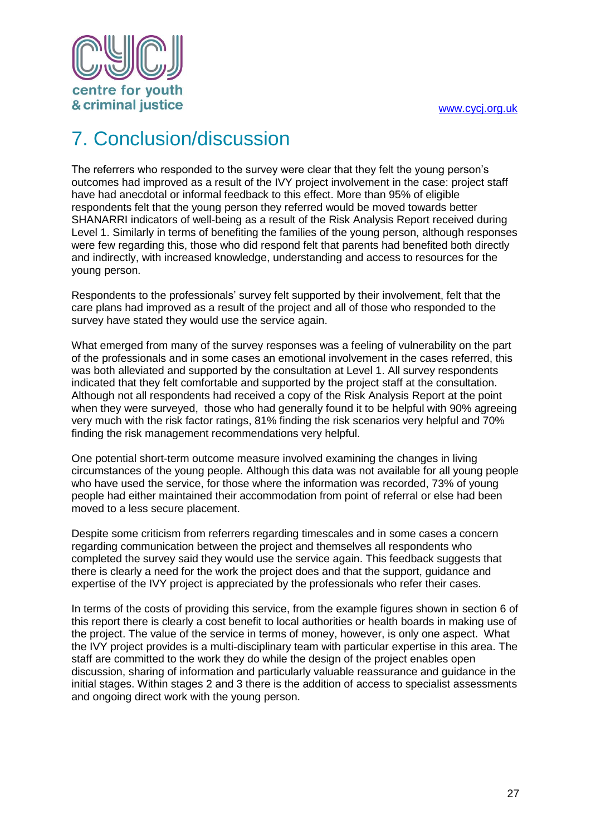

# <span id="page-27-0"></span>7. Conclusion/discussion

The referrers who responded to the survey were clear that they felt the young person's outcomes had improved as a result of the IVY project involvement in the case: project staff have had anecdotal or informal feedback to this effect. More than 95% of eligible respondents felt that the young person they referred would be moved towards better SHANARRI indicators of well-being as a result of the Risk Analysis Report received during Level 1. Similarly in terms of benefiting the families of the young person, although responses were few regarding this, those who did respond felt that parents had benefited both directly and indirectly, with increased knowledge, understanding and access to resources for the young person.

Respondents to the professionals' survey felt supported by their involvement, felt that the care plans had improved as a result of the project and all of those who responded to the survey have stated they would use the service again.

What emerged from many of the survey responses was a feeling of vulnerability on the part of the professionals and in some cases an emotional involvement in the cases referred, this was both alleviated and supported by the consultation at Level 1. All survey respondents indicated that they felt comfortable and supported by the project staff at the consultation. Although not all respondents had received a copy of the Risk Analysis Report at the point when they were surveyed, those who had generally found it to be helpful with 90% agreeing very much with the risk factor ratings, 81% finding the risk scenarios very helpful and 70% finding the risk management recommendations very helpful.

One potential short-term outcome measure involved examining the changes in living circumstances of the young people. Although this data was not available for all young people who have used the service, for those where the information was recorded, 73% of young people had either maintained their accommodation from point of referral or else had been moved to a less secure placement.

Despite some criticism from referrers regarding timescales and in some cases a concern regarding communication between the project and themselves all respondents who completed the survey said they would use the service again. This feedback suggests that there is clearly a need for the work the project does and that the support, guidance and expertise of the IVY project is appreciated by the professionals who refer their cases.

In terms of the costs of providing this service, from the example figures shown in section 6 of this report there is clearly a cost benefit to local authorities or health boards in making use of the project. The value of the service in terms of money, however, is only one aspect. What the IVY project provides is a multi-disciplinary team with particular expertise in this area. The staff are committed to the work they do while the design of the project enables open discussion, sharing of information and particularly valuable reassurance and guidance in the initial stages. Within stages 2 and 3 there is the addition of access to specialist assessments and ongoing direct work with the young person.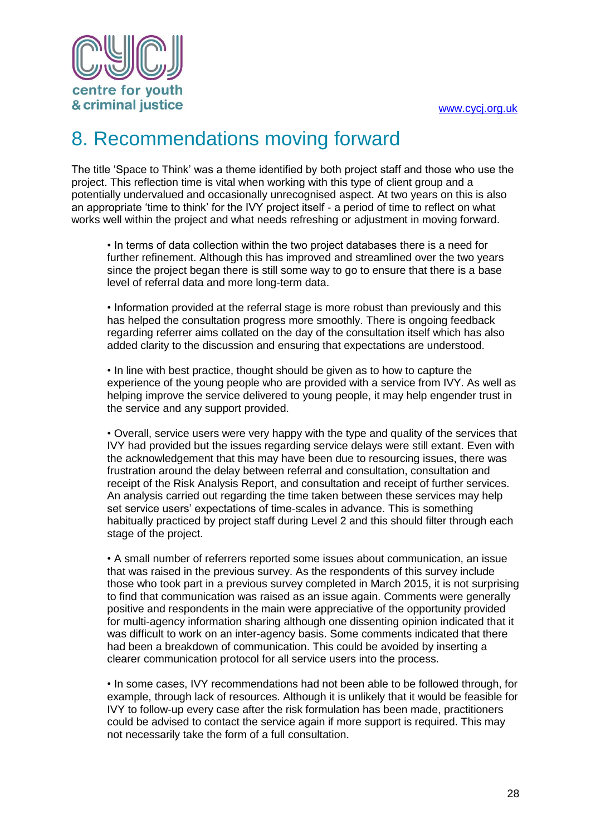

### <span id="page-28-0"></span>8. Recommendations moving forward

The title 'Space to Think' was a theme identified by both project staff and those who use the project. This reflection time is vital when working with this type of client group and a potentially undervalued and occasionally unrecognised aspect. At two years on this is also an appropriate 'time to think' for the IVY project itself - a period of time to reflect on what works well within the project and what needs refreshing or adjustment in moving forward.

• In terms of data collection within the two project databases there is a need for further refinement. Although this has improved and streamlined over the two years since the project began there is still some way to go to ensure that there is a base level of referral data and more long-term data.

• Information provided at the referral stage is more robust than previously and this has helped the consultation progress more smoothly. There is ongoing feedback regarding referrer aims collated on the day of the consultation itself which has also added clarity to the discussion and ensuring that expectations are understood.

• In line with best practice, thought should be given as to how to capture the experience of the young people who are provided with a service from IVY. As well as helping improve the service delivered to young people, it may help engender trust in the service and any support provided.

• Overall, service users were very happy with the type and quality of the services that IVY had provided but the issues regarding service delays were still extant. Even with the acknowledgement that this may have been due to resourcing issues, there was frustration around the delay between referral and consultation, consultation and receipt of the Risk Analysis Report, and consultation and receipt of further services. An analysis carried out regarding the time taken between these services may help set service users' expectations of time-scales in advance. This is something habitually practiced by project staff during Level 2 and this should filter through each stage of the project.

• A small number of referrers reported some issues about communication, an issue that was raised in the previous survey. As the respondents of this survey include those who took part in a previous survey completed in March 2015, it is not surprising to find that communication was raised as an issue again. Comments were generally positive and respondents in the main were appreciative of the opportunity provided for multi-agency information sharing although one dissenting opinion indicated that it was difficult to work on an inter-agency basis. Some comments indicated that there had been a breakdown of communication. This could be avoided by inserting a clearer communication protocol for all service users into the process.

• In some cases, IVY recommendations had not been able to be followed through, for example, through lack of resources. Although it is unlikely that it would be feasible for IVY to follow-up every case after the risk formulation has been made, practitioners could be advised to contact the service again if more support is required. This may not necessarily take the form of a full consultation.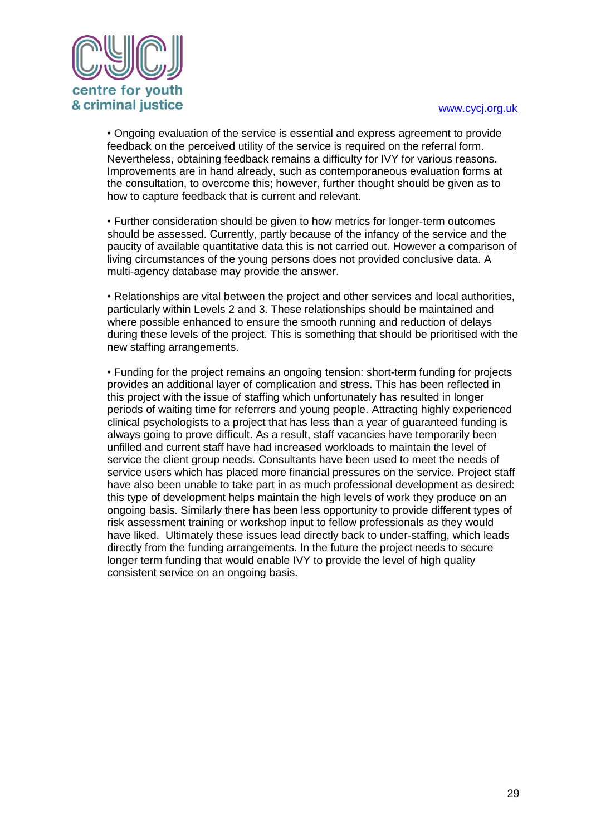

• Ongoing evaluation of the service is essential and express agreement to provide feedback on the perceived utility of the service is required on the referral form. Nevertheless, obtaining feedback remains a difficulty for IVY for various reasons. Improvements are in hand already, such as contemporaneous evaluation forms at the consultation, to overcome this; however, further thought should be given as to how to capture feedback that is current and relevant.

• Further consideration should be given to how metrics for longer-term outcomes should be assessed. Currently, partly because of the infancy of the service and the paucity of available quantitative data this is not carried out. However a comparison of living circumstances of the young persons does not provided conclusive data. A multi-agency database may provide the answer.

• Relationships are vital between the project and other services and local authorities, particularly within Levels 2 and 3. These relationships should be maintained and where possible enhanced to ensure the smooth running and reduction of delays during these levels of the project. This is something that should be prioritised with the new staffing arrangements.

• Funding for the project remains an ongoing tension: short-term funding for projects provides an additional layer of complication and stress. This has been reflected in this project with the issue of staffing which unfortunately has resulted in longer periods of waiting time for referrers and young people. Attracting highly experienced clinical psychologists to a project that has less than a year of guaranteed funding is always going to prove difficult. As a result, staff vacancies have temporarily been unfilled and current staff have had increased workloads to maintain the level of service the client group needs. Consultants have been used to meet the needs of service users which has placed more financial pressures on the service. Project staff have also been unable to take part in as much professional development as desired: this type of development helps maintain the high levels of work they produce on an ongoing basis. Similarly there has been less opportunity to provide different types of risk assessment training or workshop input to fellow professionals as they would have liked. Ultimately these issues lead directly back to under-staffing, which leads directly from the funding arrangements. In the future the project needs to secure longer term funding that would enable IVY to provide the level of high quality consistent service on an ongoing basis.